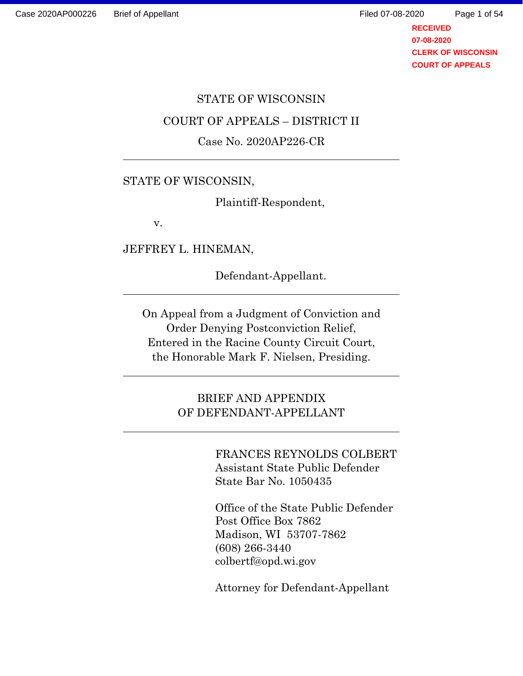**RECEIVED** Page 1 of 54

> **07-08-2020 CLERK OF WISCONSIN COURT OF APPEALS**

#### STATE OF WISCONSIN

#### COURT OF APPEALS – DISTRICT II

#### Case No. 2020AP226-CR

#### STATE OF WISCONSIN,

Plaintiff-Respondent,

v.

JEFFREY L. HINEMAN,

Defendant-Appellant.

On Appeal from a Judgment of Conviction and Order Denying Postconviction Relief, Entered in the Racine County Circuit Court, the Honorable Mark F. Nielsen, Presiding.

> BRIEF AND APPENDIX OF DEFENDANT-APPELLANT

> > FRANCES REYNOLDS COLBERT Assistant State Public Defender State Bar No. 1050435

Office of the State Public Defender Post Office Box 7862 Madison, WI 53707-7862 (608) 266-3440 colbertf@opd.wi.gov

Attorney for Defendant-Appellant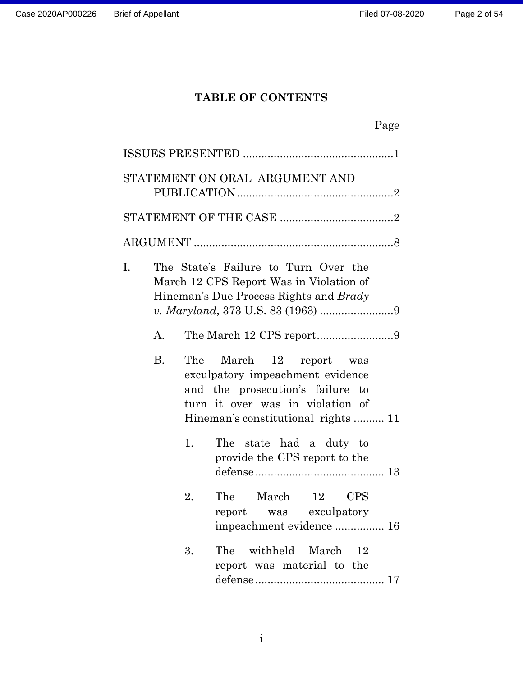# **TABLE OF CONTENTS**

|    |           |     | STATEMENT ON ORAL ARGUMENT AND                                                                                                                                            |  |
|----|-----------|-----|---------------------------------------------------------------------------------------------------------------------------------------------------------------------------|--|
|    |           |     |                                                                                                                                                                           |  |
|    |           |     |                                                                                                                                                                           |  |
| I. |           |     | The State's Failure to Turn Over the<br>March 12 CPS Report Was in Violation of<br>Hineman's Due Process Rights and Brady                                                 |  |
|    | A.        |     | The March 12 CPS report9                                                                                                                                                  |  |
|    | <b>B.</b> | The | March<br>12 report was<br>exculpatory impeachment evidence<br>and the prosecution's failure to<br>turn it over was in violation of<br>Hineman's constitutional rights  11 |  |
|    |           | 1.  | The state had a duty to<br>provide the CPS report to the                                                                                                                  |  |
|    |           | 2.  | The March 12 CPS<br>report was exculpatory<br>impeachment evidence  16                                                                                                    |  |
|    |           | 3.  | The withheld March 12<br>report was material to the                                                                                                                       |  |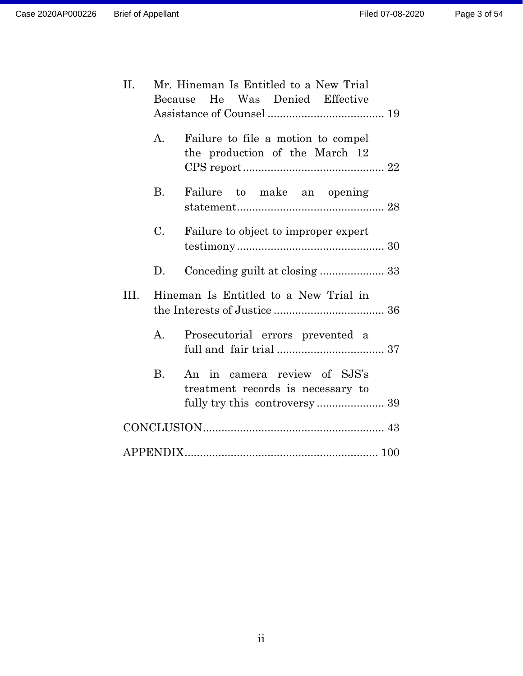| II.  | Because     | Mr. Hineman Is Entitled to a New Trial<br>He Was Denied Effective    |
|------|-------------|----------------------------------------------------------------------|
|      | A.          | Failure to file a motion to compel<br>the production of the March 12 |
|      | <b>B</b> .  | Failure to make an opening                                           |
|      | C.          | Failure to object to improper expert                                 |
|      | D.          |                                                                      |
| III. |             | Hineman Is Entitled to a New Trial in                                |
|      | $A_{\cdot}$ | Prosecutorial errors prevented a                                     |
|      | <b>B.</b>   | An in camera review of SJS's<br>treatment records is necessary to    |
|      |             |                                                                      |
|      |             |                                                                      |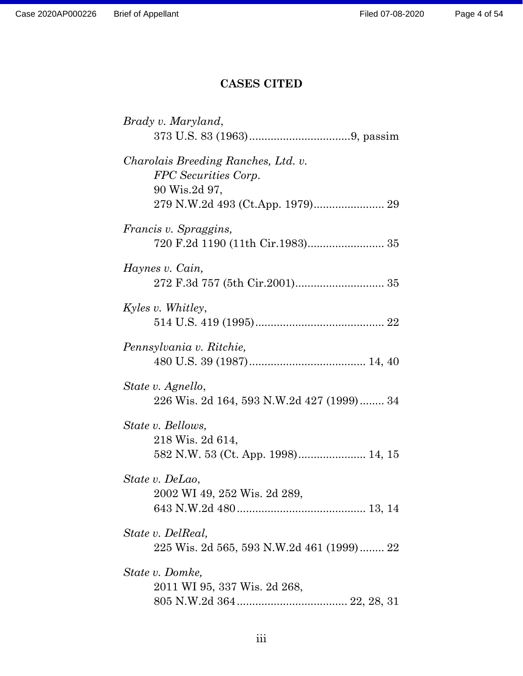# **CASES CITED**

| Brady v. Maryland,                                                           |
|------------------------------------------------------------------------------|
|                                                                              |
| Charolais Breeding Ranches, Ltd. v.<br>FPC Securities Corp.<br>90 Wis.2d 97, |
| <i>Francis v. Spraggins,</i>                                                 |
| Haynes v. Cain,                                                              |
| Kyles v. Whitley,                                                            |
| Pennsylvania v. Ritchie,                                                     |
| State v. Agnello,<br>226 Wis. 2d 164, 593 N.W.2d 427 (1999) 34               |
| State v. Bellows,<br>218 Wis. 2d 614,                                        |
| State v. DeLao,<br>2002 WI 49, 252 Wis. 2d 289,                              |
| State v. DelReal,<br>225 Wis. 2d 565, 593 N.W.2d 461 (1999) 22               |
| State v. Domke,<br>2011 WI 95, 337 Wis. 2d 268,                              |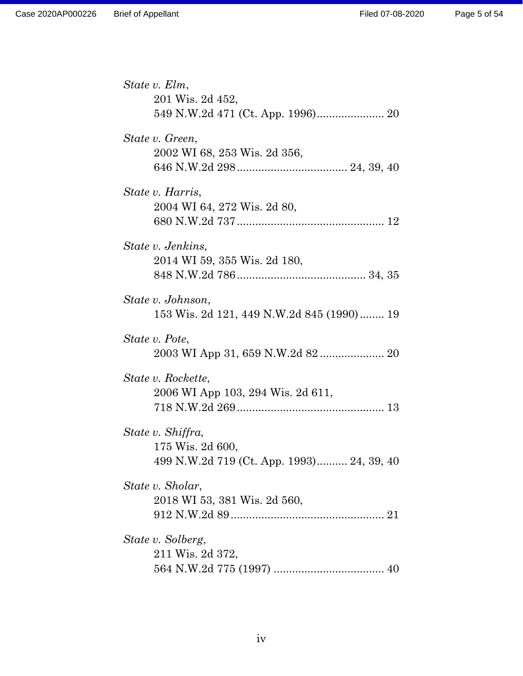| State v. Elm,                             |
|-------------------------------------------|
| 201 Wis. 2d 452,                          |
|                                           |
| State v. Green,                           |
| 2002 WI 68, 253 Wis. 2d 356,              |
|                                           |
| State v. Harris,                          |
| 2004 WI 64, 272 Wis. 2d 80,               |
|                                           |
| State v. Jenkins,                         |
| 2014 WI 59, 355 Wis. 2d 180,              |
|                                           |
| State v. Johnson,                         |
| 153 Wis. 2d 121, 449 N.W.2d 845 (1990) 19 |
| State v. Pote,                            |
| 2003 WI App 31, 659 N.W.2d 82 20          |
| State v. Rockette,                        |
| 2006 WI App 103, 294 Wis. 2d 611,         |
|                                           |
| State v. Shiffra,                         |
| 175 Wis. 2d 600,                          |
| 499 N.W.2d 719 (Ct. App. 1993) 24, 39, 40 |
| State v. Sholar,                          |
| 2018 WI 53, 381 Wis. 2d 560,              |
|                                           |
| State v. Solberg,                         |
| 211 Wis. 2d 372,                          |
|                                           |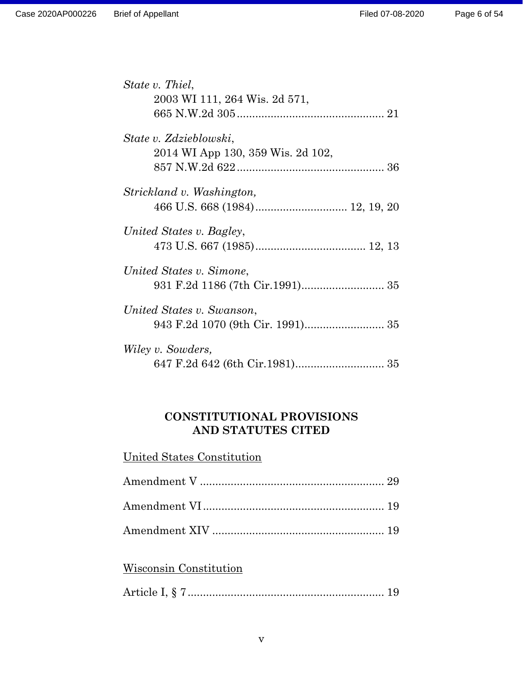| State v. Thiel,                   |  |
|-----------------------------------|--|
| 2003 WI 111, 264 Wis. 2d 571,     |  |
|                                   |  |
| State v. Zdzieblowski,            |  |
| 2014 WI App 130, 359 Wis. 2d 102, |  |
|                                   |  |
| Strickland v. Washington,         |  |
|                                   |  |
| United States v. Bagley,          |  |
|                                   |  |
| United States v. Simone,          |  |
|                                   |  |
| United States v. Swanson,         |  |
|                                   |  |
| Wiley v. Sowders,                 |  |
|                                   |  |

## **CONSTITUTIONAL PROVISIONS AND STATUTES CITED**

## United States Constitution

## Wisconsin Constitution

|--|--|--|--|--|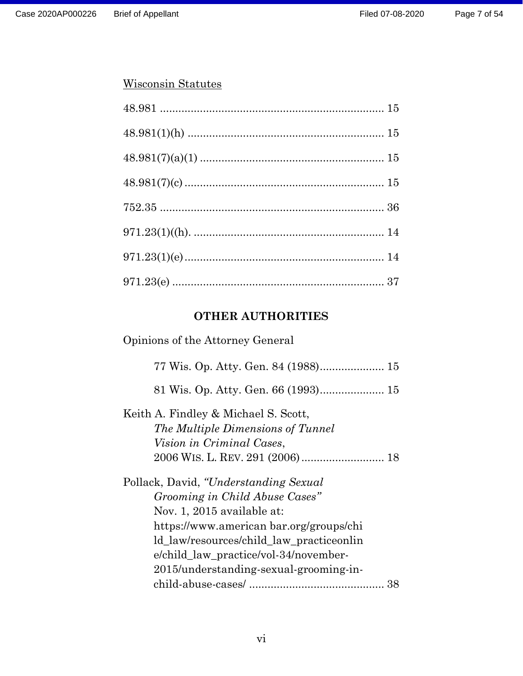### Wisconsin Statutes

# **OTHER AUTHORITIES**

| Opinions of the Attorney General                                                                                                                                                                                                                                                 |  |  |
|----------------------------------------------------------------------------------------------------------------------------------------------------------------------------------------------------------------------------------------------------------------------------------|--|--|
|                                                                                                                                                                                                                                                                                  |  |  |
|                                                                                                                                                                                                                                                                                  |  |  |
| Keith A. Findley & Michael S. Scott,<br>The Multiple Dimensions of Tunnel<br><i>Vision in Criminal Cases,</i>                                                                                                                                                                    |  |  |
| Pollack, David, "Understanding Sexual"<br>Grooming in Child Abuse Cases"<br>Nov. 1, 2015 available at:<br>https://www.american.bar.org/groups/chi<br>ld_law/resources/child_law_practiceonlin<br>e/child_law_practice/vol-34/november-<br>2015/understanding-sexual-grooming-in- |  |  |
| 38                                                                                                                                                                                                                                                                               |  |  |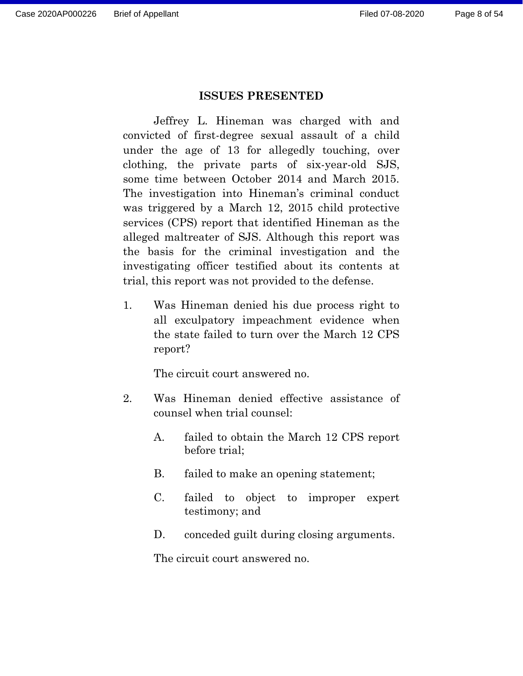#### **ISSUES PRESENTED**

Jeffrey L. Hineman was charged with and convicted of first-degree sexual assault of a child under the age of 13 for allegedly touching, over clothing, the private parts of six-year-old SJS, some time between October 2014 and March 2015. The investigation into Hineman's criminal conduct was triggered by a March 12, 2015 child protective services (CPS) report that identified Hineman as the alleged maltreater of SJS. Although this report was the basis for the criminal investigation and the investigating officer testified about its contents at trial, this report was not provided to the defense.

1. Was Hineman denied his due process right to all exculpatory impeachment evidence when the state failed to turn over the March 12 CPS report?

The circuit court answered no.

- 2. Was Hineman denied effective assistance of counsel when trial counsel:
	- A. failed to obtain the March 12 CPS report before trial;
	- B. failed to make an opening statement;
	- C. failed to object to improper expert testimony; and
	- D. conceded guilt during closing arguments.

The circuit court answered no.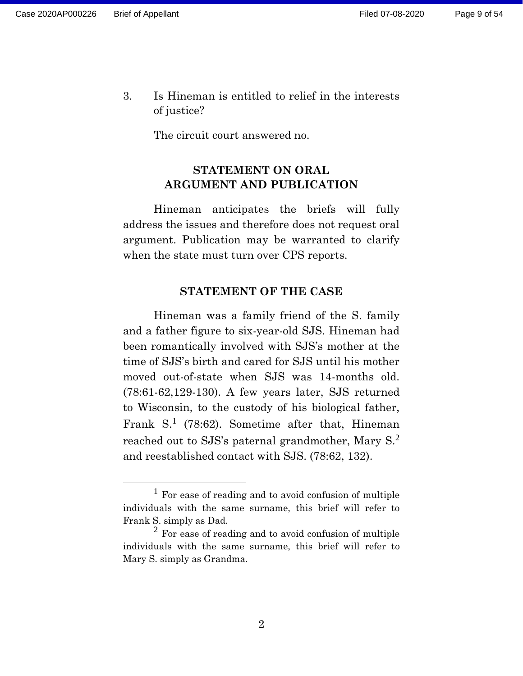3. Is Hineman is entitled to relief in the interests of justice?

The circuit court answered no.

## **STATEMENT ON ORAL ARGUMENT AND PUBLICATION**

Hineman anticipates the briefs will fully address the issues and therefore does not request oral argument. Publication may be warranted to clarify when the state must turn over CPS reports.

#### **STATEMENT OF THE CASE**

Hineman was a family friend of the S. family and a father figure to six-year-old SJS. Hineman had been romantically involved with SJS's mother at the time of SJS's birth and cared for SJS until his mother moved out-of-state when SJS was 14-months old. (78:61-62,129-130). A few years later, SJS returned to Wisconsin, to the custody of his biological father, Frank S.<sup>1</sup> (78:62). Sometime after that, Hineman reached out to SJS's paternal grandmother, Mary S.<sup>2</sup> and reestablished contact with SJS. (78:62, 132).

<sup>1</sup> For ease of reading and to avoid confusion of multiple individuals with the same surname, this brief will refer to Frank S. simply as Dad.

 $<sup>2</sup>$  For ease of reading and to avoid confusion of multiple</sup> individuals with the same surname, this brief will refer to Mary S. simply as Grandma.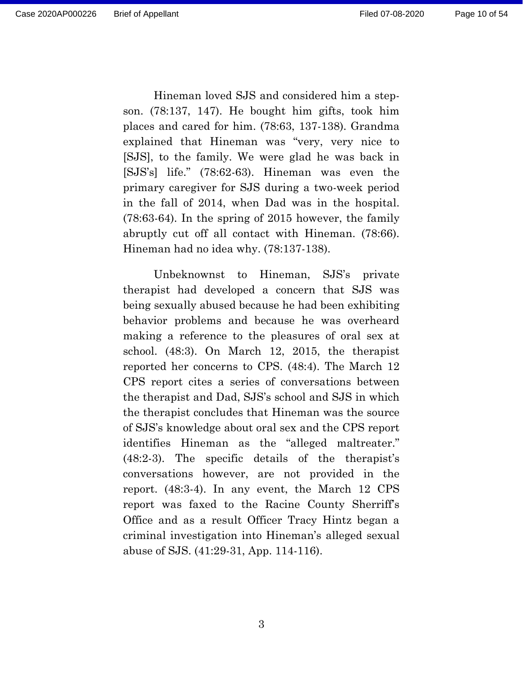Hineman loved SJS and considered him a stepson. (78:137, 147). He bought him gifts, took him places and cared for him. (78:63, 137-138). Grandma explained that Hineman was "very, very nice to [SJS], to the family. We were glad he was back in [SJS's] life." (78:62-63). Hineman was even the primary caregiver for SJS during a two-week period in the fall of 2014, when Dad was in the hospital. (78:63-64). In the spring of 2015 however, the family abruptly cut off all contact with Hineman. (78:66). Hineman had no idea why. (78:137-138).

Unbeknownst to Hineman, SJS's private therapist had developed a concern that SJS was being sexually abused because he had been exhibiting behavior problems and because he was overheard making a reference to the pleasures of oral sex at school. (48:3). On March 12, 2015, the therapist reported her concerns to CPS. (48:4). The March 12 CPS report cites a series of conversations between the therapist and Dad, SJS's school and SJS in which the therapist concludes that Hineman was the source of SJS's knowledge about oral sex and the CPS report identifies Hineman as the "alleged maltreater." (48:2-3). The specific details of the therapist's conversations however, are not provided in the report. (48:3-4). In any event, the March 12 CPS report was faxed to the Racine County Sherriff's Office and as a result Officer Tracy Hintz began a criminal investigation into Hineman's alleged sexual abuse of SJS. (41:29-31, App. 114-116).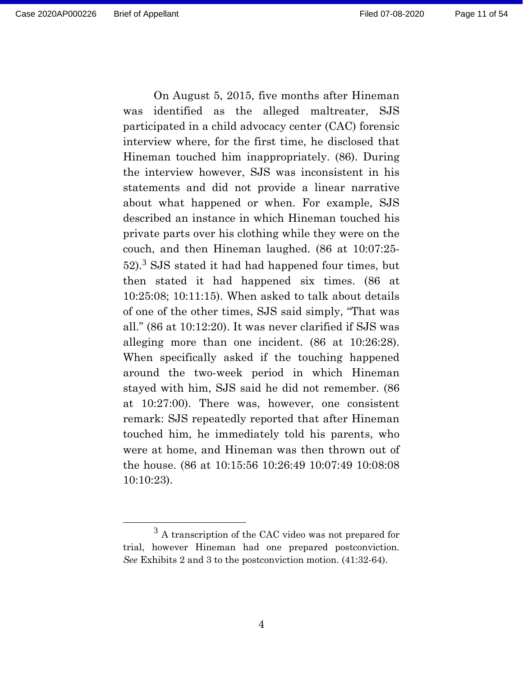Page 11 of 54

On August 5, 2015, five months after Hineman was identified as the alleged maltreater, SJS participated in a child advocacy center (CAC) forensic interview where, for the first time, he disclosed that Hineman touched him inappropriately. (86). During the interview however, SJS was inconsistent in his statements and did not provide a linear narrative about what happened or when. For example, SJS described an instance in which Hineman touched his private parts over his clothing while they were on the couch, and then Hineman laughed. (86 at 10:07:25- 52). <sup>3</sup> SJS stated it had had happened four times, but then stated it had happened six times. (86 at 10:25:08; 10:11:15). When asked to talk about details of one of the other times, SJS said simply, "That was all." (86 at 10:12:20). It was never clarified if SJS was alleging more than one incident. (86 at 10:26:28). When specifically asked if the touching happened around the two-week period in which Hineman stayed with him, SJS said he did not remember. (86 at 10:27:00). There was, however, one consistent remark: SJS repeatedly reported that after Hineman touched him, he immediately told his parents, who were at home, and Hineman was then thrown out of the house. (86 at 10:15:56 10:26:49 10:07:49 10:08:08 10:10:23).

<sup>3</sup> A transcription of the CAC video was not prepared for trial, however Hineman had one prepared postconviction. *See* Exhibits 2 and 3 to the postconviction motion. (41:32-64).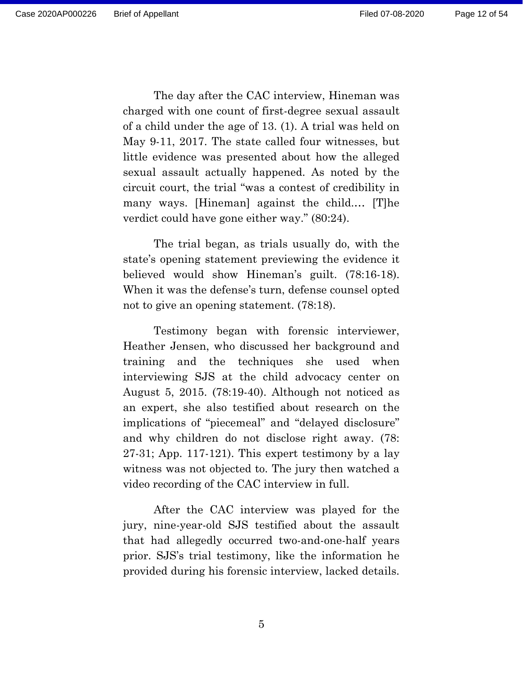The day after the CAC interview, Hineman was charged with one count of first-degree sexual assault of a child under the age of 13. (1). A trial was held on May 9-11, 2017. The state called four witnesses, but little evidence was presented about how the alleged sexual assault actually happened. As noted by the circuit court, the trial "was a contest of credibility in many ways. [Hineman] against the child.… [T]he verdict could have gone either way." (80:24).

The trial began, as trials usually do, with the state's opening statement previewing the evidence it believed would show Hineman's guilt. (78:16-18). When it was the defense's turn, defense counsel opted not to give an opening statement. (78:18).

Testimony began with forensic interviewer, Heather Jensen, who discussed her background and training and the techniques she used when interviewing SJS at the child advocacy center on August 5, 2015. (78:19-40). Although not noticed as an expert, she also testified about research on the implications of "piecemeal" and "delayed disclosure" and why children do not disclose right away. (78: 27-31; App. 117-121). This expert testimony by a lay witness was not objected to. The jury then watched a video recording of the CAC interview in full.

After the CAC interview was played for the jury, nine-year-old SJS testified about the assault that had allegedly occurred two-and-one-half years prior. SJS's trial testimony, like the information he provided during his forensic interview, lacked details.

5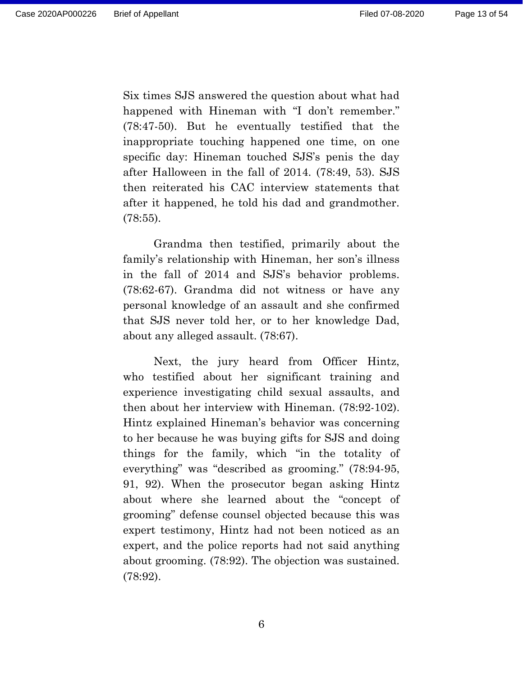Six times SJS answered the question about what had happened with Hineman with "I don't remember." (78:47-50). But he eventually testified that the inappropriate touching happened one time, on one specific day: Hineman touched SJS's penis the day after Halloween in the fall of 2014. (78:49, 53). SJS then reiterated his CAC interview statements that after it happened, he told his dad and grandmother. (78:55).

Grandma then testified, primarily about the family's relationship with Hineman, her son's illness in the fall of 2014 and SJS's behavior problems. (78:62-67). Grandma did not witness or have any personal knowledge of an assault and she confirmed that SJS never told her, or to her knowledge Dad, about any alleged assault. (78:67).

Next, the jury heard from Officer Hintz, who testified about her significant training and experience investigating child sexual assaults, and then about her interview with Hineman. (78:92-102). Hintz explained Hineman's behavior was concerning to her because he was buying gifts for SJS and doing things for the family, which "in the totality of everything" was "described as grooming." (78:94-95, 91, 92). When the prosecutor began asking Hintz about where she learned about the "concept of grooming" defense counsel objected because this was expert testimony, Hintz had not been noticed as an expert, and the police reports had not said anything about grooming. (78:92). The objection was sustained. (78:92).

6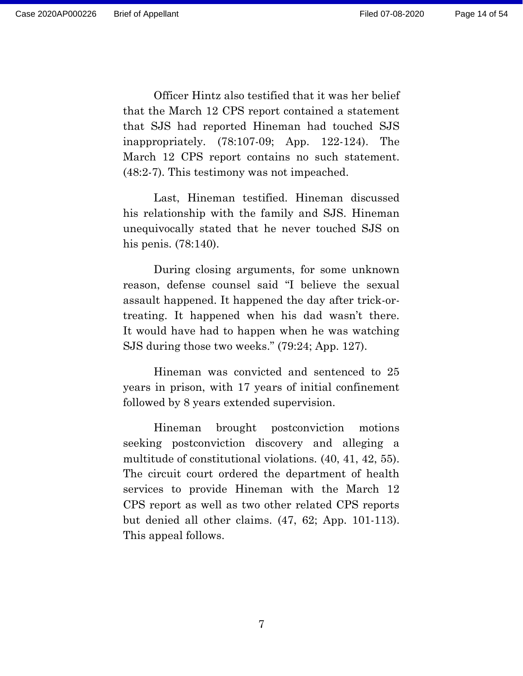Officer Hintz also testified that it was her belief that the March 12 CPS report contained a statement that SJS had reported Hineman had touched SJS inappropriately. (78:107-09; App. 122-124). The March 12 CPS report contains no such statement. (48:2-7). This testimony was not impeached.

Last, Hineman testified. Hineman discussed his relationship with the family and SJS. Hineman unequivocally stated that he never touched SJS on his penis. (78:140).

During closing arguments, for some unknown reason, defense counsel said "I believe the sexual assault happened. It happened the day after trick-ortreating. It happened when his dad wasn't there. It would have had to happen when he was watching SJS during those two weeks." (79:24; App. 127).

Hineman was convicted and sentenced to 25 years in prison, with 17 years of initial confinement followed by 8 years extended supervision.

Hineman brought postconviction motions seeking postconviction discovery and alleging a multitude of constitutional violations. (40, 41, 42, 55). The circuit court ordered the department of health services to provide Hineman with the March 12 CPS report as well as two other related CPS reports but denied all other claims. (47, 62; App. 101-113). This appeal follows.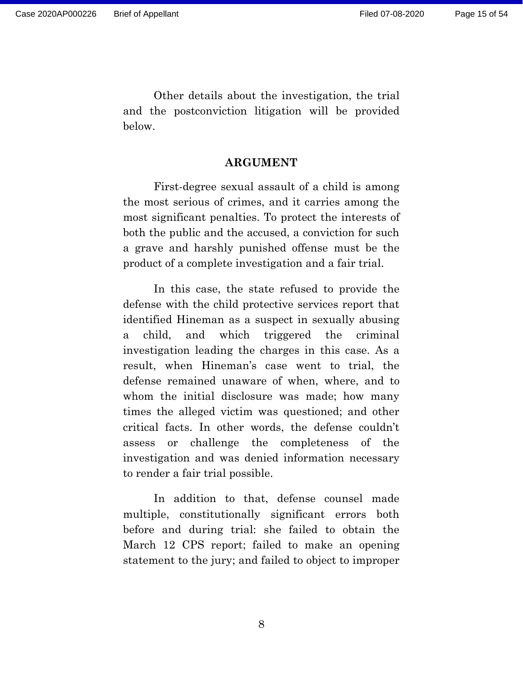Other details about the investigation, the trial and the postconviction litigation will be provided below.

#### **ARGUMENT**

First-degree sexual assault of a child is among the most serious of crimes, and it carries among the most significant penalties. To protect the interests of both the public and the accused, a conviction for such a grave and harshly punished offense must be the product of a complete investigation and a fair trial.

In this case, the state refused to provide the defense with the child protective services report that identified Hineman as a suspect in sexually abusing a child, and which triggered the criminal investigation leading the charges in this case. As a result, when Hineman's case went to trial, the defense remained unaware of when, where, and to whom the initial disclosure was made; how many times the alleged victim was questioned; and other critical facts. In other words, the defense couldn't assess or challenge the completeness of the investigation and was denied information necessary to render a fair trial possible.

In addition to that, defense counsel made multiple, constitutionally significant errors both before and during trial: she failed to obtain the March 12 CPS report; failed to make an opening statement to the jury; and failed to object to improper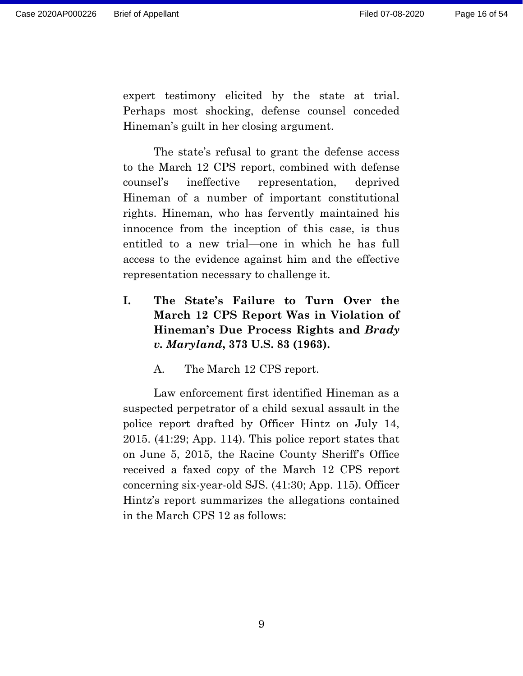expert testimony elicited by the state at trial. Perhaps most shocking, defense counsel conceded Hineman's guilt in her closing argument.

The state's refusal to grant the defense access to the March 12 CPS report, combined with defense counsel's ineffective representation, deprived Hineman of a number of important constitutional rights. Hineman, who has fervently maintained his innocence from the inception of this case, is thus entitled to a new trial—one in which he has full access to the evidence against him and the effective representation necessary to challenge it.

**I. The State's Failure to Turn Over the March 12 CPS Report Was in Violation of Hineman's Due Process Rights and** *Brady v. Maryland***, 373 U.S. 83 (1963).**

A. The March 12 CPS report.

Law enforcement first identified Hineman as a suspected perpetrator of a child sexual assault in the police report drafted by Officer Hintz on July 14, 2015. (41:29; App. 114). This police report states that on June 5, 2015, the Racine County Sheriff's Office received a faxed copy of the March 12 CPS report concerning six-year-old SJS. (41:30; App. 115). Officer Hintz's report summarizes the allegations contained in the March CPS 12 as follows: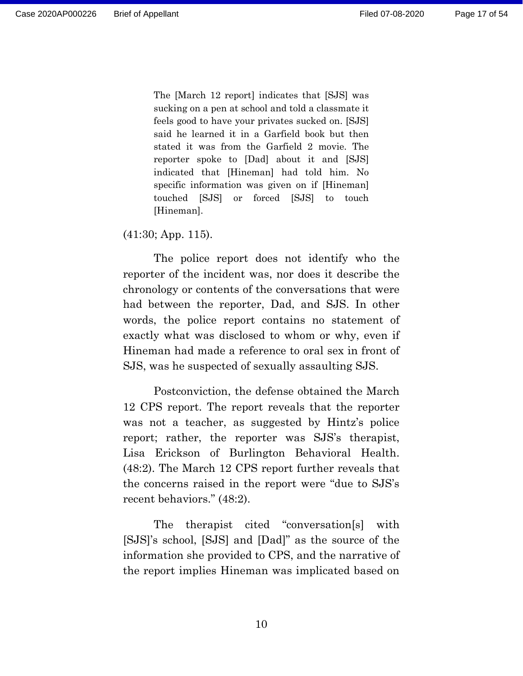The [March 12 report] indicates that [SJS] was sucking on a pen at school and told a classmate it feels good to have your privates sucked on. [SJS] said he learned it in a Garfield book but then stated it was from the Garfield 2 movie. The reporter spoke to [Dad] about it and [SJS] indicated that [Hineman] had told him. No specific information was given on if [Hineman] touched [SJS] or forced [SJS] to touch [Hineman].

(41:30; App. 115).

The police report does not identify who the reporter of the incident was, nor does it describe the chronology or contents of the conversations that were had between the reporter, Dad, and SJS. In other words, the police report contains no statement of exactly what was disclosed to whom or why, even if Hineman had made a reference to oral sex in front of SJS, was he suspected of sexually assaulting SJS.

Postconviction, the defense obtained the March 12 CPS report. The report reveals that the reporter was not a teacher, as suggested by Hintz's police report; rather, the reporter was SJS's therapist, Lisa Erickson of Burlington Behavioral Health. (48:2). The March 12 CPS report further reveals that the concerns raised in the report were "due to SJS's recent behaviors." (48:2).

The therapist cited "conversation[s] with [SJS]'s school, [SJS] and [Dad]" as the source of the information she provided to CPS, and the narrative of the report implies Hineman was implicated based on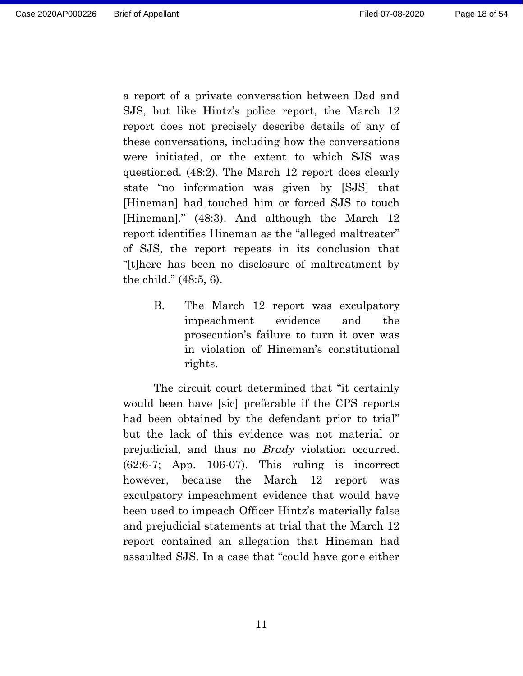a report of a private conversation between Dad and SJS, but like Hintz's police report, the March 12 report does not precisely describe details of any of these conversations, including how the conversations were initiated, or the extent to which SJS was questioned. (48:2). The March 12 report does clearly state "no information was given by [SJS] that [Hineman] had touched him or forced SJS to touch [Hineman]." (48:3). And although the March 12 report identifies Hineman as the "alleged maltreater" of SJS, the report repeats in its conclusion that "[t]here has been no disclosure of maltreatment by the child." (48:5, 6).

> <span id="page-17-0"></span>B. The March 12 report was exculpatory impeachment evidence and the prosecution's failure to turn it over was in violation of Hineman's constitutional rights.

The circuit court determined that "it certainly would been have [sic] preferable if the CPS reports had been obtained by the defendant prior to trial" but the lack of this evidence was not material or prejudicial, and thus no *Brady* violation occurred. (62:6-7; App. 106-07). This ruling is incorrect however, because the March 12 report was exculpatory impeachment evidence that would have been used to impeach Officer Hintz's materially false and prejudicial statements at trial that the March 12 report contained an allegation that Hineman had assaulted SJS. In a case that "could have gone either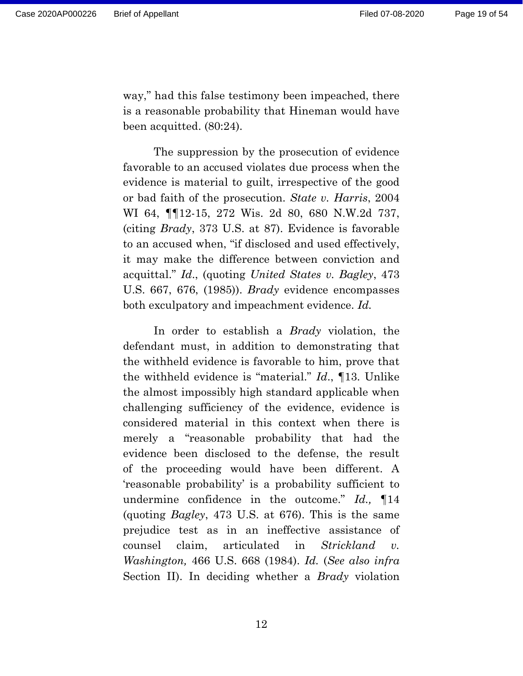way," had this false testimony been impeached, there is a reasonable probability that Hineman would have been acquitted. (80:24).

The suppression by the prosecution of evidence favorable to an accused violates due process when the evidence is material to guilt, irrespective of the good or bad faith of the prosecution. *State v. Harris*, 2004 WI 64, ¶¶12-15, 272 Wis. 2d 80, 680 N.W.2d 737, (citing *Brady*, 373 U.S. at 87). Evidence is favorable to an accused when, "if disclosed and used effectively, it may make the difference between conviction and acquittal." *Id*., (quoting *United States v. Bagley*, 473 U.S. 667, 676, (1985)). *Brady* evidence encompasses both exculpatory and impeachment evidence. *Id.*

In order to establish a *Brady* violation, the defendant must, in addition to demonstrating that the withheld evidence is favorable to him, prove that the withheld evidence is "material." *Id*., ¶13. Unlike the almost impossibly high standard applicable when challenging sufficiency of the evidence, evidence is considered material in this context when there is merely a "reasonable probability that had the evidence been disclosed to the defense, the result of the proceeding would have been different. A 'reasonable probability' is a probability sufficient to undermine confidence in the outcome." *Id.,* ¶14 (quoting *Bagley*, 473 U.S. at 676). This is the same prejudice test as in an ineffective assistance of counsel claim, articulated in *Strickland v. Washington,* 466 U.S. 668 (1984). *Id.* (*See also infra*  Section II). In deciding whether a *Brady* violation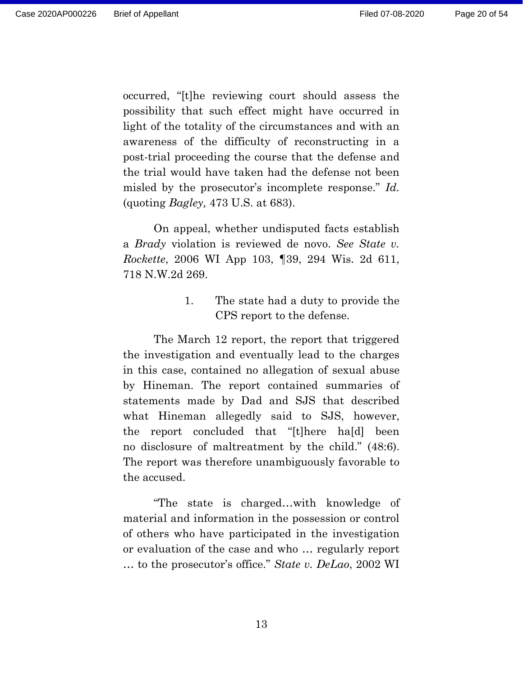occurred, "[t]he reviewing court should assess the possibility that such effect might have occurred in light of the totality of the circumstances and with an awareness of the difficulty of reconstructing in a post-trial proceeding the course that the defense and the trial would have taken had the defense not been misled by the prosecutor's incomplete response." *Id.*  (quoting *Bagley,* 473 U.S. at 683).

On appeal, whether undisputed facts establish a *Brady* violation is reviewed de novo. *See State v. Rockette*, 2006 WI App 103, ¶39, 294 Wis. 2d 611, 718 N.W.2d 269.

> 1. The state had a duty to provide the CPS report to the defense.

<span id="page-19-0"></span>The March 12 report, the report that triggered the investigation and eventually lead to the charges in this case, contained no allegation of sexual abuse by Hineman. The report contained summaries of statements made by Dad and SJS that described what Hineman allegedly said to SJS, however, the report concluded that "[t]here ha[d] been no disclosure of maltreatment by the child." (48:6). The report was therefore unambiguously favorable to the accused.

"The state is charged…with knowledge of material and information in the possession or control of others who have participated in the investigation or evaluation of the case and who … regularly report … to the prosecutor's office." *State v. DeLao*, 2002 WI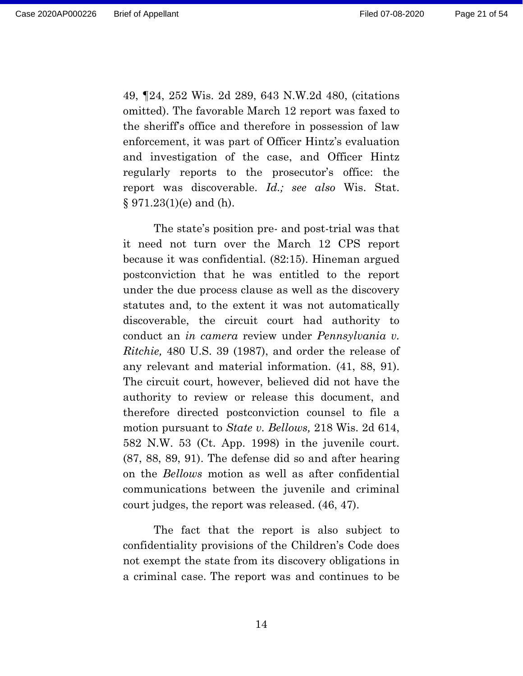49, ¶24, 252 Wis. 2d 289, 643 N.W.2d 480, (citations omitted). The favorable March 12 report was faxed to the sheriff's office and therefore in possession of law enforcement, it was part of Officer Hintz's evaluation and investigation of the case, and Officer Hintz regularly reports to the prosecutor's office: the report was discoverable. *Id.; see also* Wis. Stat.  $§ 971.23(1)(e)$  and (h).

The state's position pre- and post-trial was that it need not turn over the March 12 CPS report because it was confidential. (82:15). Hineman argued postconviction that he was entitled to the report under the due process clause as well as the discovery statutes and, to the extent it was not automatically discoverable, the circuit court had authority to conduct an *in camera* review under *Pennsylvania v. Ritchie,* 480 U.S. 39 (1987), and order the release of any relevant and material information. (41, 88, 91). The circuit court, however, believed did not have the authority to review or release this document, and therefore directed postconviction counsel to file a motion pursuant to *State v. Bellows,* 218 Wis. 2d 614, 582 N.W. 53 (Ct. App. 1998) in the juvenile court. (87, 88, 89, 91). The defense did so and after hearing on the *Bellows* motion as well as after confidential communications between the juvenile and criminal court judges, the report was released. (46, 47).

The fact that the report is also subject to confidentiality provisions of the Children's Code does not exempt the state from its discovery obligations in a criminal case. The report was and continues to be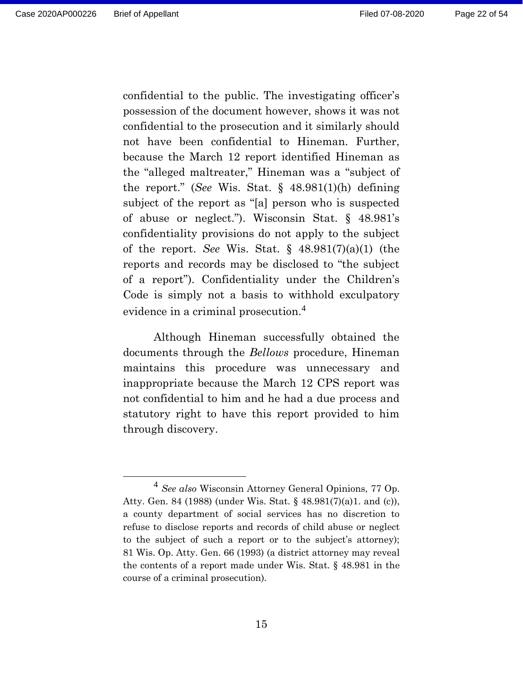confidential to the public. The investigating officer's possession of the document however, shows it was not confidential to the prosecution and it similarly should not have been confidential to Hineman. Further, because the March 12 report identified Hineman as the "alleged maltreater," Hineman was a "subject of the report." (*See* Wis. Stat. § 48.981(1)(h) defining subject of the report as "[a] person who is suspected of abuse or neglect."). Wisconsin Stat. § 48.981's confidentiality provisions do not apply to the subject of the report. *See* Wis. Stat. § 48.981(7)(a)(1) (the reports and records may be disclosed to "the subject of a report"). Confidentiality under the Children's Code is simply not a basis to withhold exculpatory evidence in a criminal prosecution.<sup>4</sup>

Although Hineman successfully obtained the documents through the *Bellows* procedure, Hineman maintains this procedure was unnecessary and inappropriate because the March 12 CPS report was not confidential to him and he had a due process and statutory right to have this report provided to him through discovery.

<sup>4</sup> *See also* Wisconsin Attorney General Opinions, 77 Op. Atty. Gen. 84 (1988) (under Wis. Stat. § 48.981(7)(a)1. and (c)), a county department of social services has no discretion to refuse to disclose reports and records of child abuse or neglect to the subject of such a report or to the subject's attorney); 81 Wis. Op. Atty. Gen. 66 (1993) (a district attorney may reveal the contents of a report made under Wis. Stat. § 48.981 in the course of a criminal prosecution).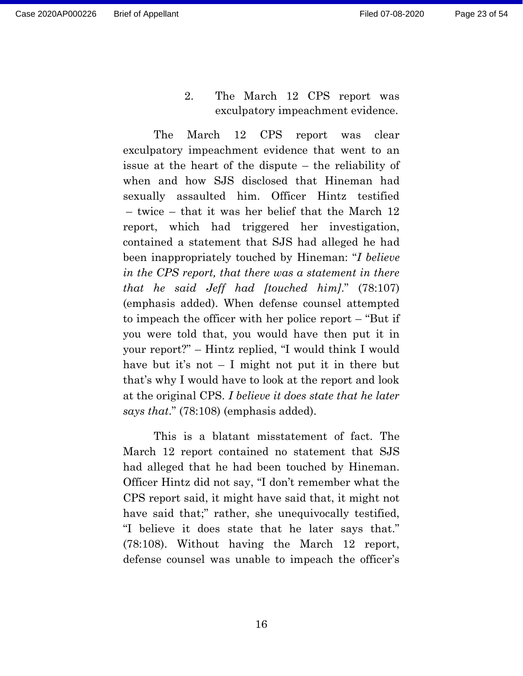Page 23 of 54

2. The March 12 CPS report was exculpatory impeachment evidence.

<span id="page-22-0"></span>The March 12 CPS report was clear exculpatory impeachment evidence that went to an issue at the heart of the dispute – the reliability of when and how SJS disclosed that Hineman had sexually assaulted him. Officer Hintz testified – twice – that it was her belief that the March 12 report, which had triggered her investigation, contained a statement that SJS had alleged he had been inappropriately touched by Hineman: "*I believe in the CPS report, that there was a statement in there that he said Jeff had [touched him]*." (78:107) (emphasis added). When defense counsel attempted to impeach the officer with her police report – "But if you were told that, you would have then put it in your report?" – Hintz replied, "I would think I would have but it's not  $-$  I might not put it in there but that's why I would have to look at the report and look at the original CPS. *I believe it does state that he later says that*." (78:108) (emphasis added).

This is a blatant misstatement of fact. The March 12 report contained no statement that SJS had alleged that he had been touched by Hineman. Officer Hintz did not say, "I don't remember what the CPS report said, it might have said that, it might not have said that;" rather, she unequivocally testified, "I believe it does state that he later says that." (78:108). Without having the March 12 report, defense counsel was unable to impeach the officer's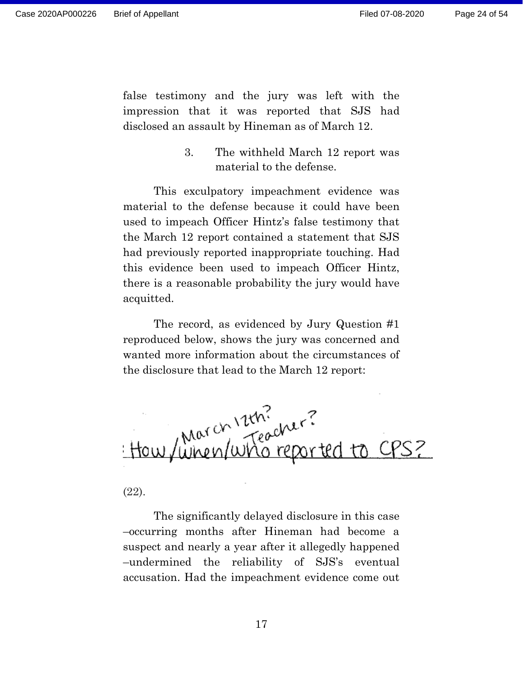false testimony and the jury was left with the impression that it was reported that SJS had disclosed an assault by Hineman as of March 12.

> 3. The withheld March 12 report was material to the defense.

<span id="page-23-0"></span>This exculpatory impeachment evidence was material to the defense because it could have been used to impeach Officer Hintz's false testimony that the March 12 report contained a statement that SJS had previously reported inappropriate touching. Had this evidence been used to impeach Officer Hintz, there is a reasonable probability the jury would have acquitted.

The record, as evidenced by Jury Question #1 reproduced below, shows the jury was concerned and wanted more information about the circumstances of the disclosure that lead to the March 12 report:



#### (22).

The significantly delayed disclosure in this case –occurring months after Hineman had become a suspect and nearly a year after it allegedly happened –undermined the reliability of SJS's eventual accusation. Had the impeachment evidence come out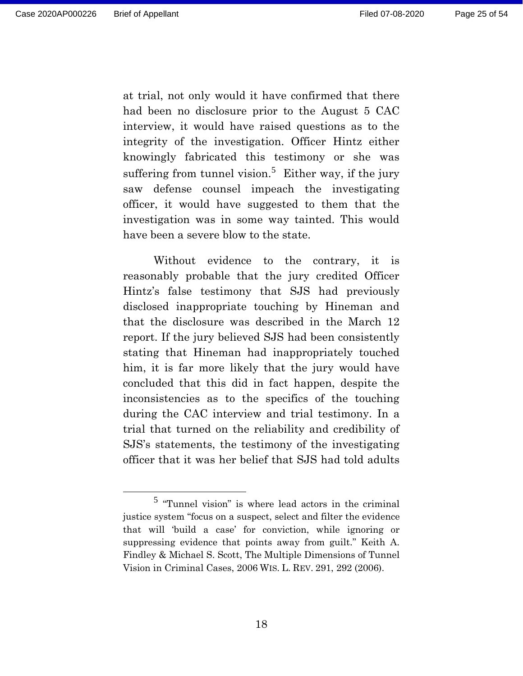at trial, not only would it have confirmed that there had been no disclosure prior to the August 5 CAC interview, it would have raised questions as to the integrity of the investigation. Officer Hintz either knowingly fabricated this testimony or she was suffering from tunnel vision.<sup>5</sup> Either way, if the jury saw defense counsel impeach the investigating officer, it would have suggested to them that the investigation was in some way tainted. This would have been a severe blow to the state.

Without evidence to the contrary, it is reasonably probable that the jury credited Officer Hintz's false testimony that SJS had previously disclosed inappropriate touching by Hineman and that the disclosure was described in the March 12 report. If the jury believed SJS had been consistently stating that Hineman had inappropriately touched him, it is far more likely that the jury would have concluded that this did in fact happen, despite the inconsistencies as to the specifics of the touching during the CAC interview and trial testimony. In a trial that turned on the reliability and credibility of SJS's statements, the testimony of the investigating officer that it was her belief that SJS had told adults

<sup>5</sup> "Tunnel vision" is where lead actors in the criminal justice system "focus on a suspect, select and filter the evidence that will 'build a case' for conviction, while ignoring or suppressing evidence that points away from guilt." Keith A. Findley & Michael S. Scott, The Multiple Dimensions of Tunnel Vision in Criminal Cases, 2006 WIS. L. REV. 291, 292 (2006).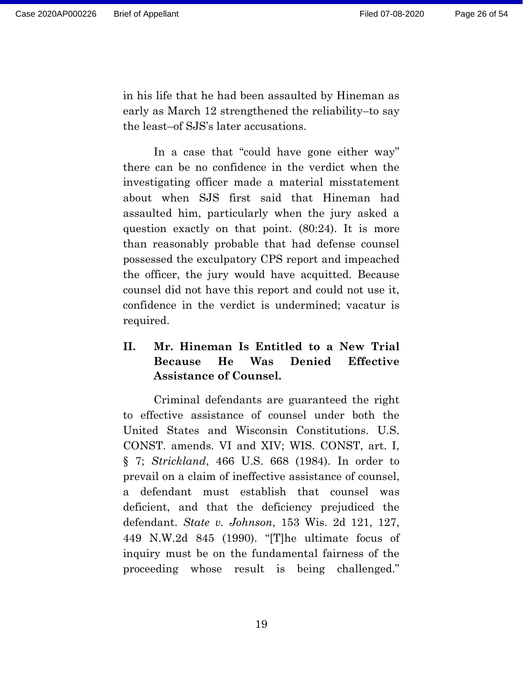in his life that he had been assaulted by Hineman as early as March 12 strengthened the reliability–to say the least–of SJS's later accusations.

In a case that "could have gone either way" there can be no confidence in the verdict when the investigating officer made a material misstatement about when SJS first said that Hineman had assaulted him, particularly when the jury asked a question exactly on that point. (80:24). It is more than reasonably probable that had defense counsel possessed the exculpatory CPS report and impeached the officer, the jury would have acquitted. Because counsel did not have this report and could not use it, confidence in the verdict is undermined; vacatur is required.

## <span id="page-25-0"></span>**II. Mr. Hineman Is Entitled to a New Trial Because He Was Denied Effective Assistance of Counsel.**

Criminal defendants are guaranteed the right to effective assistance of counsel under both the United States and Wisconsin Constitutions. U.S. CONST. amends. VI and XIV; WIS. CONST, art. I, § 7; *Strickland*, 466 U.S. 668 (1984). In order to prevail on a claim of ineffective assistance of counsel, a defendant must establish that counsel was deficient, and that the deficiency prejudiced the defendant. *State v. Johnson*, 153 Wis. 2d 121, 127, 449 N.W.2d 845 (1990). "[T]he ultimate focus of inquiry must be on the fundamental fairness of the proceeding whose result is being challenged."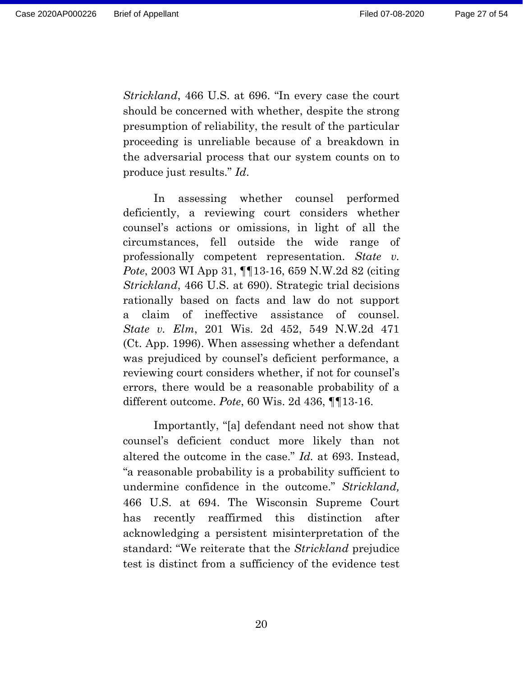*Strickland*, 466 U.S. at 696. "In every case the court should be concerned with whether, despite the strong presumption of reliability, the result of the particular proceeding is unreliable because of a breakdown in the adversarial process that our system counts on to produce just results." *Id*.

In assessing whether counsel performed deficiently, a reviewing court considers whether counsel's actions or omissions, in light of all the circumstances, fell outside the wide range of professionally competent representation. *State v. Pote*, 2003 WI App 31, ¶¶13-16, 659 N.W.2d 82 (citing *Strickland*, 466 U.S. at 690). Strategic trial decisions rationally based on facts and law do not support a claim of ineffective assistance of counsel. *State v. Elm*, 201 Wis. 2d 452, 549 N.W.2d 471 (Ct. App. 1996). When assessing whether a defendant was prejudiced by counsel's deficient performance, a reviewing court considers whether, if not for counsel's errors, there would be a reasonable probability of a different outcome. *Pote*, 60 Wis. 2d 436, ¶¶13-16.

Importantly, "[a] defendant need not show that counsel's deficient conduct more likely than not altered the outcome in the case." *Id.* at 693. Instead, "a reasonable probability is a probability sufficient to undermine confidence in the outcome." *Strickland,* 466 U.S. at 694. The Wisconsin Supreme Court has recently reaffirmed this distinction after acknowledging a persistent misinterpretation of the standard: "We reiterate that the *Strickland* prejudice test is distinct from a sufficiency of the evidence test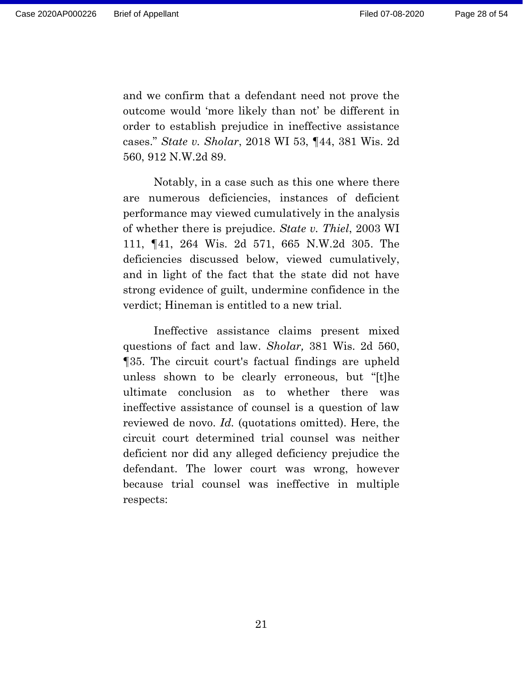and we confirm that a defendant need not prove the outcome would 'more likely than not' be different in order to establish prejudice in ineffective assistance cases." *State v. Sholar*, 2018 WI 53, ¶44, 381 Wis. 2d 560, 912 N.W.2d 89.

Notably, in a case such as this one where there are numerous deficiencies, instances of deficient performance may viewed cumulatively in the analysis of whether there is prejudice. *State v. Thiel*, 2003 WI 111, ¶41, 264 Wis. 2d 571, 665 N.W.2d 305. The deficiencies discussed below, viewed cumulatively, and in light of the fact that the state did not have strong evidence of guilt, undermine confidence in the verdict; Hineman is entitled to a new trial.

Ineffective assistance claims present mixed questions of fact and law. *Sholar,* 381 Wis. 2d 560, ¶35. The circuit court's factual findings are upheld unless shown to be clearly erroneous, but "[t]he ultimate conclusion as to whether there was ineffective assistance of counsel is a question of law reviewed de novo. *Id.* (quotations omitted). Here, the circuit court determined trial counsel was neither deficient nor did any alleged deficiency prejudice the defendant. The lower court was wrong, however because trial counsel was ineffective in multiple respects: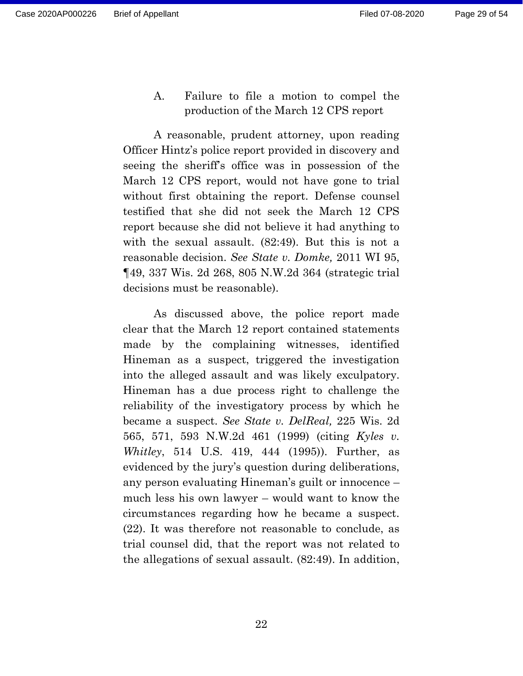Page 29 of 54

<span id="page-28-0"></span>A. Failure to file a motion to compel the production of the March 12 CPS report

A reasonable, prudent attorney, upon reading Officer Hintz's police report provided in discovery and seeing the sheriff's office was in possession of the March 12 CPS report, would not have gone to trial without first obtaining the report. Defense counsel testified that she did not seek the March 12 CPS report because she did not believe it had anything to with the sexual assault. (82:49). But this is not a reasonable decision. *See State v. Domke,* 2011 WI 95, ¶49, 337 Wis. 2d 268, 805 N.W.2d 364 (strategic trial decisions must be reasonable).

As discussed above, the police report made clear that the March 12 report contained statements made by the complaining witnesses, identified Hineman as a suspect, triggered the investigation into the alleged assault and was likely exculpatory. Hineman has a due process right to challenge the reliability of the investigatory process by which he became a suspect. *See State v. DelReal,* 225 Wis. 2d 565, 571, 593 N.W.2d 461 (1999) (citing *Kyles v. Whitley*, 514 U.S. 419, 444 (1995)). Further, as evidenced by the jury's question during deliberations, any person evaluating Hineman's guilt or innocence – much less his own lawyer – would want to know the circumstances regarding how he became a suspect. (22). It was therefore not reasonable to conclude, as trial counsel did, that the report was not related to the allegations of sexual assault. (82:49). In addition,

22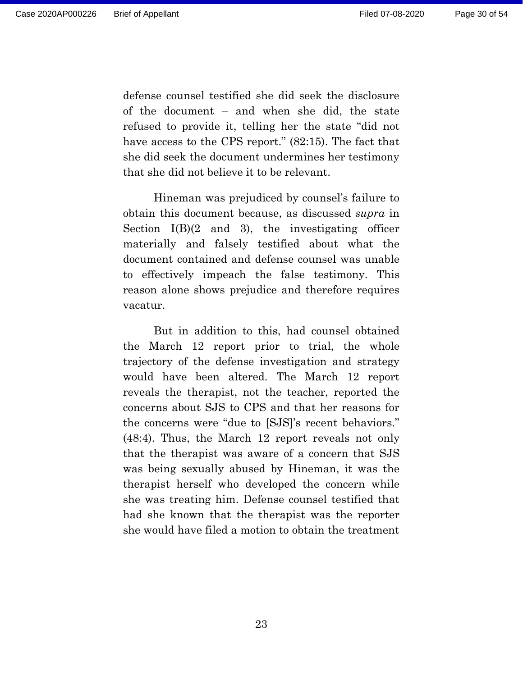defense counsel testified she did seek the disclosure of the document – and when she did, the state refused to provide it, telling her the state "did not have access to the CPS report." (82:15). The fact that she did seek the document undermines her testimony that she did not believe it to be relevant.

Hineman was prejudiced by counsel's failure to obtain this document because, as discussed *supra* in Section  $I(B)(2 \text{ and } 3)$ , the investigating officer materially and falsely testified about what the document contained and defense counsel was unable to effectively impeach the false testimony. This reason alone shows prejudice and therefore requires vacatur.

But in addition to this, had counsel obtained the March 12 report prior to trial, the whole trajectory of the defense investigation and strategy would have been altered. The March 12 report reveals the therapist, not the teacher, reported the concerns about SJS to CPS and that her reasons for the concerns were "due to [SJS]'s recent behaviors." (48:4). Thus, the March 12 report reveals not only that the therapist was aware of a concern that SJS was being sexually abused by Hineman, it was the therapist herself who developed the concern while she was treating him. Defense counsel testified that had she known that the therapist was the reporter she would have filed a motion to obtain the treatment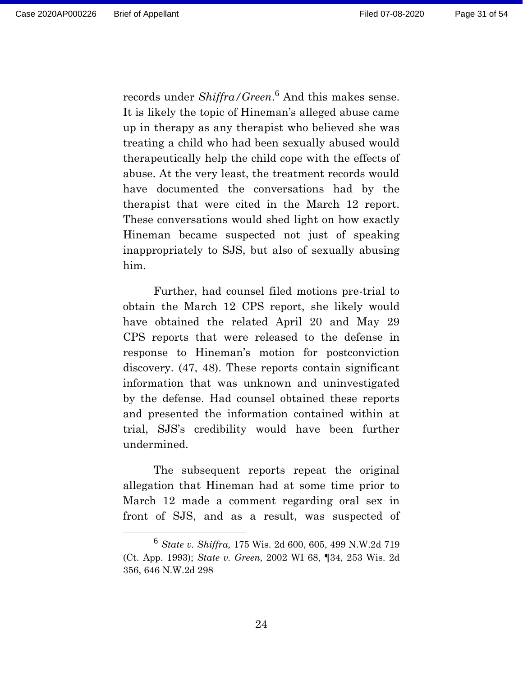records under *Shiffra/Green*. <sup>6</sup> And this makes sense. It is likely the topic of Hineman's alleged abuse came up in therapy as any therapist who believed she was treating a child who had been sexually abused would therapeutically help the child cope with the effects of abuse. At the very least, the treatment records would have documented the conversations had by the therapist that were cited in the March 12 report. These conversations would shed light on how exactly Hineman became suspected not just of speaking inappropriately to SJS, but also of sexually abusing him.

Further, had counsel filed motions pre-trial to obtain the March 12 CPS report, she likely would have obtained the related April 20 and May 29 CPS reports that were released to the defense in response to Hineman's motion for postconviction discovery. (47, 48). These reports contain significant information that was unknown and uninvestigated by the defense. Had counsel obtained these reports and presented the information contained within at trial, SJS's credibility would have been further undermined.

The subsequent reports repeat the original allegation that Hineman had at some time prior to March 12 made a comment regarding oral sex in front of SJS, and as a result, was suspected of

<sup>6</sup> *State v. Shiffra,* 175 Wis. 2d 600, 605, 499 N.W.2d 719 (Ct. App. 1993); *State v. Green*, 2002 WI 68, ¶34, 253 Wis. 2d 356, 646 N.W.2d 298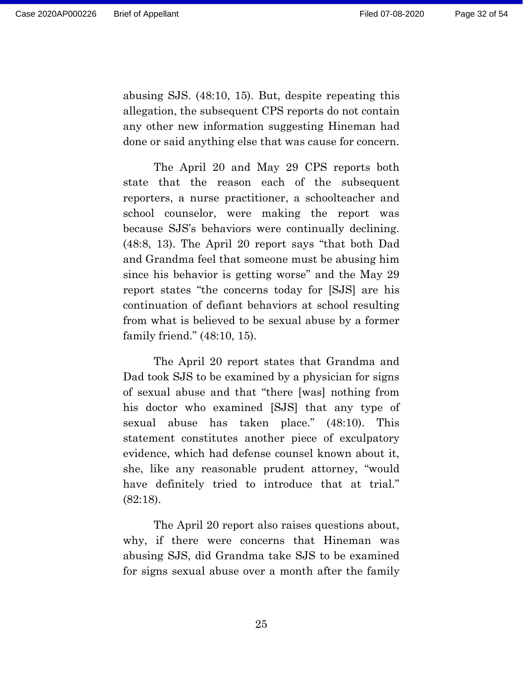abusing SJS. (48:10, 15). But, despite repeating this allegation, the subsequent CPS reports do not contain any other new information suggesting Hineman had done or said anything else that was cause for concern.

The April 20 and May 29 CPS reports both state that the reason each of the subsequent reporters, a nurse practitioner, a schoolteacher and school counselor, were making the report was because SJS's behaviors were continually declining. (48:8, 13). The April 20 report says "that both Dad and Grandma feel that someone must be abusing him since his behavior is getting worse" and the May 29 report states "the concerns today for [SJS] are his continuation of defiant behaviors at school resulting from what is believed to be sexual abuse by a former family friend." (48:10, 15).

The April 20 report states that Grandma and Dad took SJS to be examined by a physician for signs of sexual abuse and that "there [was] nothing from his doctor who examined [SJS] that any type of sexual abuse has taken place." (48:10). This statement constitutes another piece of exculpatory evidence, which had defense counsel known about it, she, like any reasonable prudent attorney, "would have definitely tried to introduce that at trial." (82:18).

The April 20 report also raises questions about, why, if there were concerns that Hineman was abusing SJS, did Grandma take SJS to be examined for signs sexual abuse over a month after the family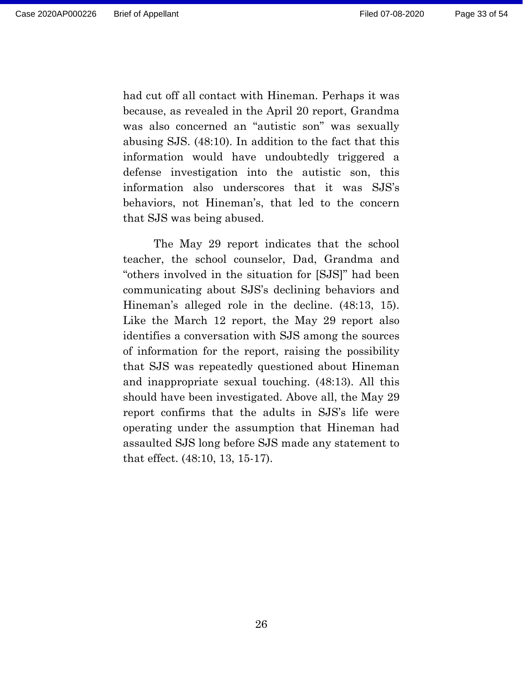had cut off all contact with Hineman. Perhaps it was because, as revealed in the April 20 report, Grandma was also concerned an "autistic son" was sexually abusing SJS. (48:10). In addition to the fact that this information would have undoubtedly triggered a defense investigation into the autistic son, this information also underscores that it was SJS's behaviors, not Hineman's, that led to the concern that SJS was being abused.

The May 29 report indicates that the school teacher, the school counselor, Dad, Grandma and "others involved in the situation for [SJS]" had been communicating about SJS's declining behaviors and Hineman's alleged role in the decline. (48:13, 15). Like the March 12 report, the May 29 report also identifies a conversation with SJS among the sources of information for the report, raising the possibility that SJS was repeatedly questioned about Hineman and inappropriate sexual touching. (48:13). All this should have been investigated. Above all, the May 29 report confirms that the adults in SJS's life were operating under the assumption that Hineman had assaulted SJS long before SJS made any statement to that effect. (48:10, 13, 15-17).

26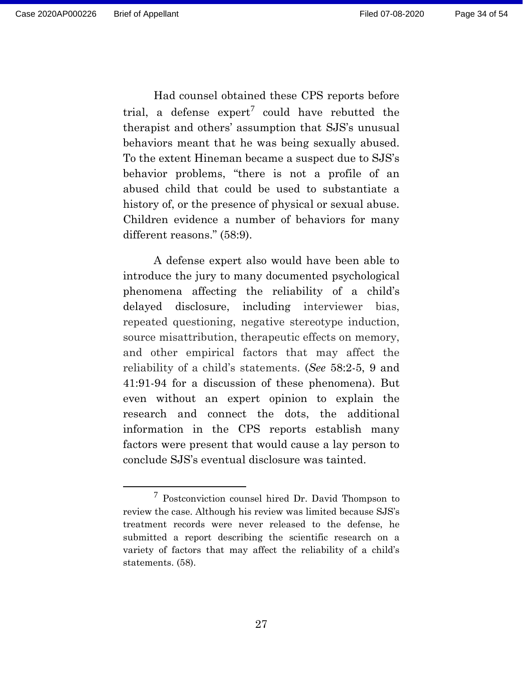Had counsel obtained these CPS reports before trial, a defense  $\exp(\tau)$  could have rebutted the

therapist and others' assumption that SJS's unusual behaviors meant that he was being sexually abused. To the extent Hineman became a suspect due to SJS's behavior problems, "there is not a profile of an abused child that could be used to substantiate a history of, or the presence of physical or sexual abuse. Children evidence a number of behaviors for many different reasons." (58:9).

A defense expert also would have been able to introduce the jury to many documented psychological phenomena affecting the reliability of a child's delayed disclosure, including interviewer bias, repeated questioning, negative stereotype induction, source misattribution, therapeutic effects on memory, and other empirical factors that may affect the reliability of a child's statements. (*See* 58:2-5, 9 and 41:91-94 for a discussion of these phenomena). But even without an expert opinion to explain the research and connect the dots, the additional information in the CPS reports establish many factors were present that would cause a lay person to conclude SJS's eventual disclosure was tainted.

<sup>7</sup> Postconviction counsel hired Dr. David Thompson to review the case. Although his review was limited because SJS's treatment records were never released to the defense, he submitted a report describing the scientific research on a variety of factors that may affect the reliability of a child's statements. (58).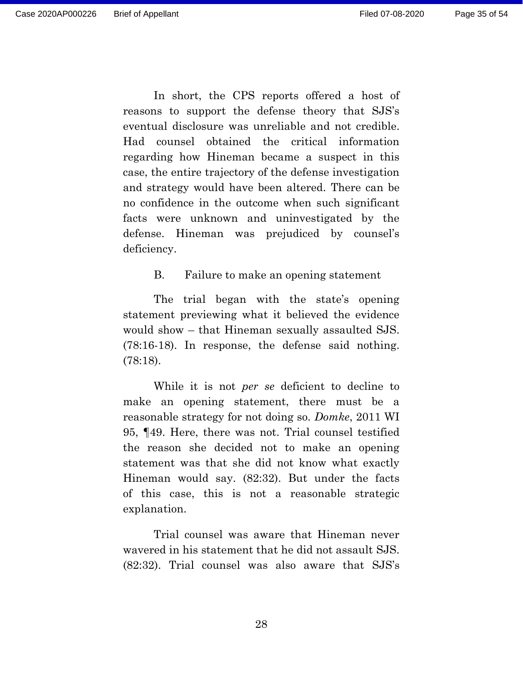In short, the CPS reports offered a host of reasons to support the defense theory that SJS's eventual disclosure was unreliable and not credible. Had counsel obtained the critical information regarding how Hineman became a suspect in this case, the entire trajectory of the defense investigation and strategy would have been altered. There can be no confidence in the outcome when such significant facts were unknown and uninvestigated by the defense. Hineman was prejudiced by counsel's deficiency.

B. Failure to make an opening statement

<span id="page-34-0"></span>The trial began with the state's opening statement previewing what it believed the evidence would show – that Hineman sexually assaulted SJS. (78:16-18). In response, the defense said nothing. (78:18).

While it is not *per se* deficient to decline to make an opening statement, there must be a reasonable strategy for not doing so. *Domke*, 2011 WI 95, ¶49. Here, there was not. Trial counsel testified the reason she decided not to make an opening statement was that she did not know what exactly Hineman would say. (82:32). But under the facts of this case, this is not a reasonable strategic explanation.

Trial counsel was aware that Hineman never wavered in his statement that he did not assault SJS. (82:32). Trial counsel was also aware that SJS's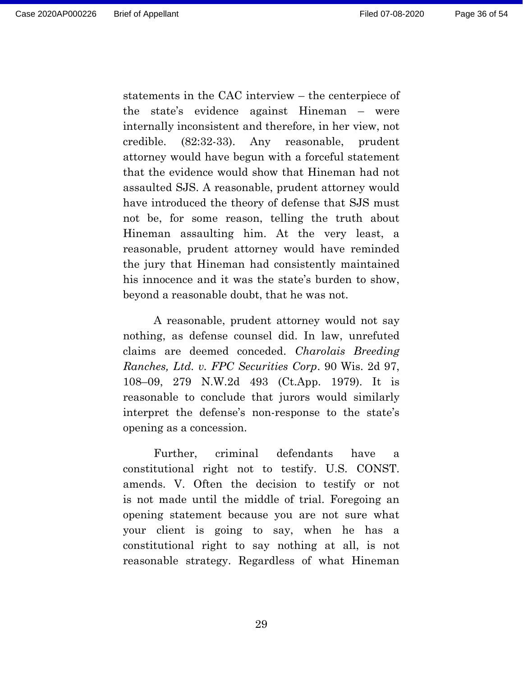statements in the CAC interview – the centerpiece of the state's evidence against Hineman – were internally inconsistent and therefore, in her view, not credible. (82:32-33). Any reasonable, prudent attorney would have begun with a forceful statement that the evidence would show that Hineman had not assaulted SJS. A reasonable, prudent attorney would have introduced the theory of defense that SJS must not be, for some reason, telling the truth about Hineman assaulting him. At the very least, a reasonable, prudent attorney would have reminded the jury that Hineman had consistently maintained his innocence and it was the state's burden to show, beyond a reasonable doubt, that he was not.

A reasonable, prudent attorney would not say nothing, as defense counsel did. In law, unrefuted claims are deemed conceded. *Charolais Breeding Ranches, Ltd. v. FPC Securities Corp*. 90 Wis. 2d 97, 108–09, 279 N.W.2d 493 (Ct.App. 1979). It is reasonable to conclude that jurors would similarly interpret the defense's non-response to the state's opening as a concession.

Further, criminal defendants have a constitutional right not to testify. U.S. CONST. amends. V. Often the decision to testify or not is not made until the middle of trial. Foregoing an opening statement because you are not sure what your client is going to say, when he has a constitutional right to say nothing at all, is not reasonable strategy. Regardless of what Hineman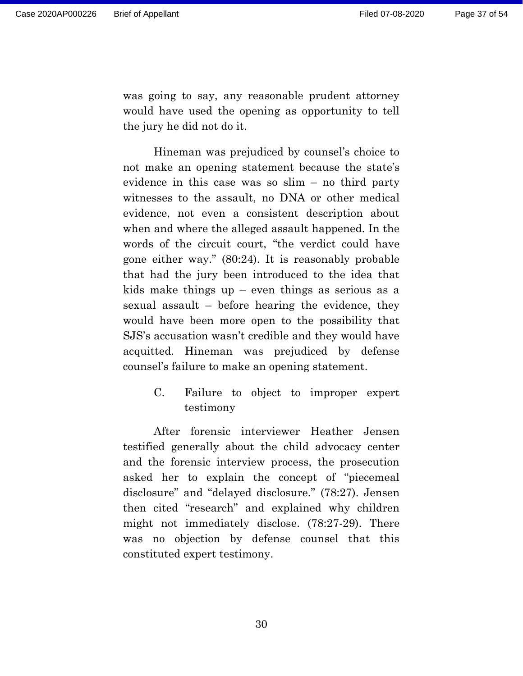was going to say, any reasonable prudent attorney would have used the opening as opportunity to tell the jury he did not do it.

Hineman was prejudiced by counsel's choice to not make an opening statement because the state's evidence in this case was so slim – no third party witnesses to the assault, no DNA or other medical evidence, not even a consistent description about when and where the alleged assault happened. In the words of the circuit court, "the verdict could have gone either way." (80:24). It is reasonably probable that had the jury been introduced to the idea that kids make things up  $-$  even things as serious as a sexual assault – before hearing the evidence, they would have been more open to the possibility that SJS's accusation wasn't credible and they would have acquitted. Hineman was prejudiced by defense counsel's failure to make an opening statement.

> <span id="page-36-0"></span>C. Failure to object to improper expert testimony

After forensic interviewer Heather Jensen testified generally about the child advocacy center and the forensic interview process, the prosecution asked her to explain the concept of "piecemeal disclosure" and "delayed disclosure." (78:27). Jensen then cited "research" and explained why children might not immediately disclose. (78:27-29). There was no objection by defense counsel that this constituted expert testimony.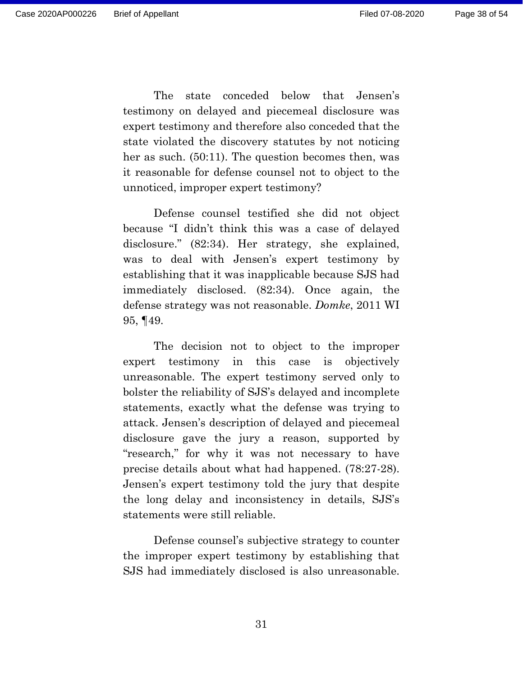The state conceded below that Jensen's testimony on delayed and piecemeal disclosure was expert testimony and therefore also conceded that the state violated the discovery statutes by not noticing her as such. (50:11). The question becomes then, was it reasonable for defense counsel not to object to the unnoticed, improper expert testimony?

Defense counsel testified she did not object because "I didn't think this was a case of delayed disclosure." (82:34). Her strategy, she explained, was to deal with Jensen's expert testimony by establishing that it was inapplicable because SJS had immediately disclosed. (82:34). Once again, the defense strategy was not reasonable. *Domke*, 2011 WI 95, ¶49.

The decision not to object to the improper expert testimony in this case is objectively unreasonable. The expert testimony served only to bolster the reliability of SJS's delayed and incomplete statements, exactly what the defense was trying to attack. Jensen's description of delayed and piecemeal disclosure gave the jury a reason, supported by "research," for why it was not necessary to have precise details about what had happened. (78:27-28). Jensen's expert testimony told the jury that despite the long delay and inconsistency in details, SJS's statements were still reliable.

Defense counsel's subjective strategy to counter the improper expert testimony by establishing that SJS had immediately disclosed is also unreasonable.

31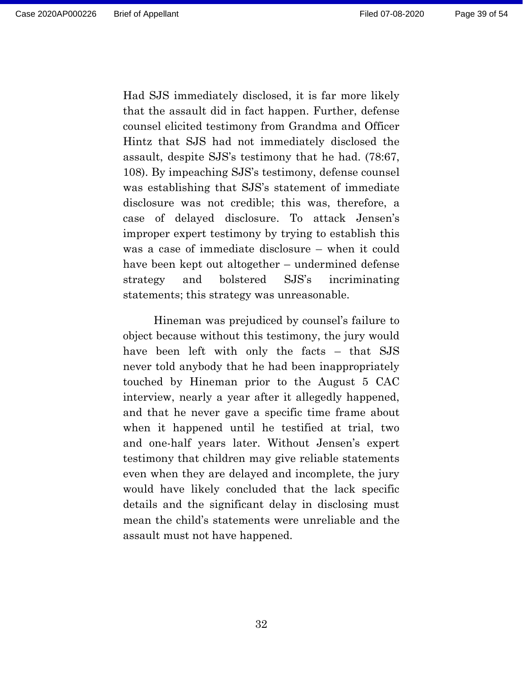Had SJS immediately disclosed, it is far more likely that the assault did in fact happen. Further, defense counsel elicited testimony from Grandma and Officer Hintz that SJS had not immediately disclosed the assault, despite SJS's testimony that he had. (78:67, 108). By impeaching SJS's testimony, defense counsel was establishing that SJS's statement of immediate disclosure was not credible; this was, therefore, a case of delayed disclosure. To attack Jensen's improper expert testimony by trying to establish this was a case of immediate disclosure – when it could have been kept out altogether – undermined defense strategy and bolstered SJS's incriminating statements; this strategy was unreasonable.

Hineman was prejudiced by counsel's failure to object because without this testimony, the jury would have been left with only the facts – that SJS never told anybody that he had been inappropriately touched by Hineman prior to the August 5 CAC interview, nearly a year after it allegedly happened, and that he never gave a specific time frame about when it happened until he testified at trial, two and one-half years later. Without Jensen's expert testimony that children may give reliable statements even when they are delayed and incomplete, the jury would have likely concluded that the lack specific details and the significant delay in disclosing must mean the child's statements were unreliable and the assault must not have happened.

32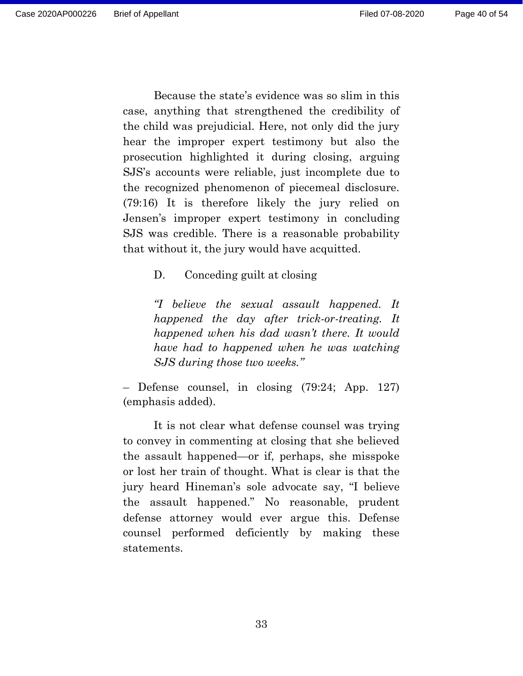Page 40 of 54

Because the state's evidence was so slim in this case, anything that strengthened the credibility of the child was prejudicial. Here, not only did the jury hear the improper expert testimony but also the prosecution highlighted it during closing, arguing SJS's accounts were reliable, just incomplete due to the recognized phenomenon of piecemeal disclosure. (79:16) It is therefore likely the jury relied on Jensen's improper expert testimony in concluding SJS was credible. There is a reasonable probability that without it, the jury would have acquitted.

<span id="page-39-0"></span>D. Conceding guilt at closing

*"I believe the sexual assault happened. It happened the day after trick-or-treating. It happened when his dad wasn't there. It would have had to happened when he was watching SJS during those two weeks."*

– Defense counsel, in closing (79:24; App. 127) (emphasis added).

It is not clear what defense counsel was trying to convey in commenting at closing that she believed the assault happened—or if, perhaps, she misspoke or lost her train of thought. What is clear is that the jury heard Hineman's sole advocate say, "I believe the assault happened." No reasonable, prudent defense attorney would ever argue this. Defense counsel performed deficiently by making these statements.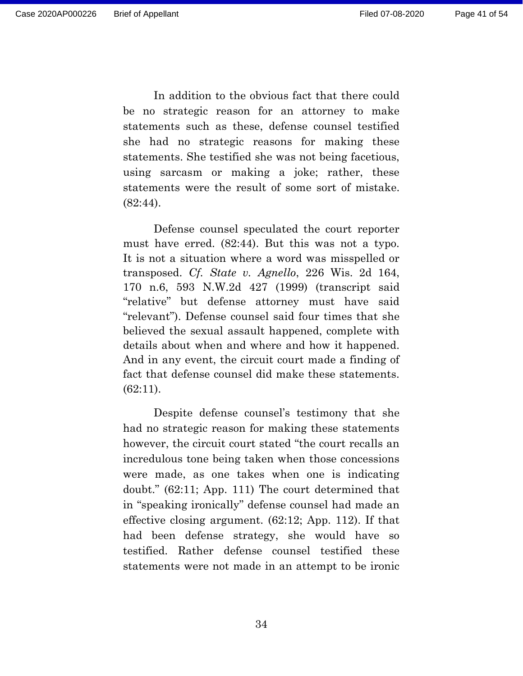In addition to the obvious fact that there could be no strategic reason for an attorney to make statements such as these, defense counsel testified she had no strategic reasons for making these statements. She testified she was not being facetious, using sarcasm or making a joke; rather, these statements were the result of some sort of mistake. (82:44).

Defense counsel speculated the court reporter must have erred. (82:44). But this was not a typo. It is not a situation where a word was misspelled or transposed. *Cf. State v. Agnello*, 226 Wis. 2d 164, 170 n.6, 593 N.W.2d 427 (1999) (transcript said "relative" but defense attorney must have said "relevant"). Defense counsel said four times that she believed the sexual assault happened, complete with details about when and where and how it happened. And in any event, the circuit court made a finding of fact that defense counsel did make these statements. (62:11).

Despite defense counsel's testimony that she had no strategic reason for making these statements however, the circuit court stated "the court recalls an incredulous tone being taken when those concessions were made, as one takes when one is indicating doubt." (62:11; App. 111) The court determined that in "speaking ironically" defense counsel had made an effective closing argument. (62:12; App. 112). If that had been defense strategy, she would have so testified. Rather defense counsel testified these statements were not made in an attempt to be ironic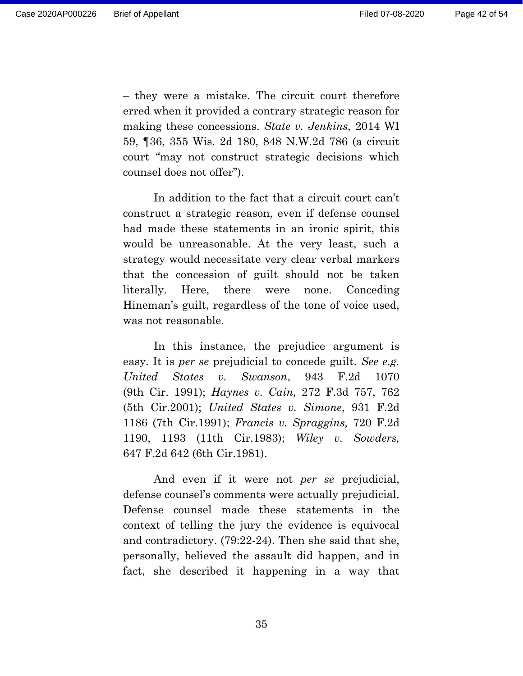– they were a mistake. The circuit court therefore erred when it provided a contrary strategic reason for making these concessions. *State v. Jenkins,* 2014 WI 59, ¶36, 355 Wis. 2d 180, 848 N.W.2d 786 (a circuit court "may not construct strategic decisions which counsel does not offer").

In addition to the fact that a circuit court can't construct a strategic reason, even if defense counsel had made these statements in an ironic spirit, this would be unreasonable. At the very least, such a strategy would necessitate very clear verbal markers that the concession of guilt should not be taken literally. Here, there were none. Conceding Hineman's guilt, regardless of the tone of voice used, was not reasonable.

In this instance, the prejudice argument is easy. It is *per se* prejudicial to concede guilt. *See e.g. United States v. Swanson*, 943 F.2d 1070 (9th Cir. 1991); *Haynes v. Cain,* 272 F.3d 757, 762 (5th Cir.2001); *United States v. Simone*, 931 F.2d 1186 (7th Cir.1991); *Francis v. Spraggins,* 720 F.2d 1190, 1193 (11th Cir.1983); *Wiley v. Sowders,* 647 F.2d 642 (6th Cir.1981).

And even if it were not *per se* prejudicial, defense counsel's comments were actually prejudicial. Defense counsel made these statements in the context of telling the jury the evidence is equivocal and contradictory. (79:22-24). Then she said that she, personally, believed the assault did happen, and in fact, she described it happening in a way that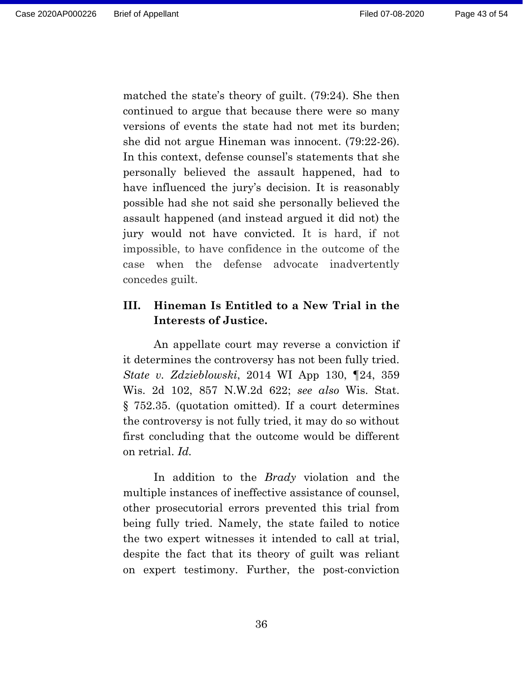matched the state's theory of guilt. (79:24). She then continued to argue that because there were so many versions of events the state had not met its burden; she did not argue Hineman was innocent. (79:22-26). In this context, defense counsel's statements that she personally believed the assault happened, had to have influenced the jury's decision. It is reasonably possible had she not said she personally believed the assault happened (and instead argued it did not) the jury would not have convicted. It is hard, if not impossible, to have confidence in the outcome of the case when the defense advocate inadvertently concedes guilt.

## <span id="page-42-0"></span>**III. Hineman Is Entitled to a New Trial in the Interests of Justice.**

An appellate court may reverse a conviction if it determines the controversy has not been fully tried. *State v. Zdzieblowski*, 2014 WI App 130, ¶24, 359 Wis. 2d 102, 857 N.W.2d 622; *see also* Wis. Stat. § 752.35. (quotation omitted). If a court determines the controversy is not fully tried, it may do so without first concluding that the outcome would be different on retrial. *Id.*

In addition to the *Brady* violation and the multiple instances of ineffective assistance of counsel, other prosecutorial errors prevented this trial from being fully tried. Namely, the state failed to notice the two expert witnesses it intended to call at trial, despite the fact that its theory of guilt was reliant on expert testimony. Further, the post-conviction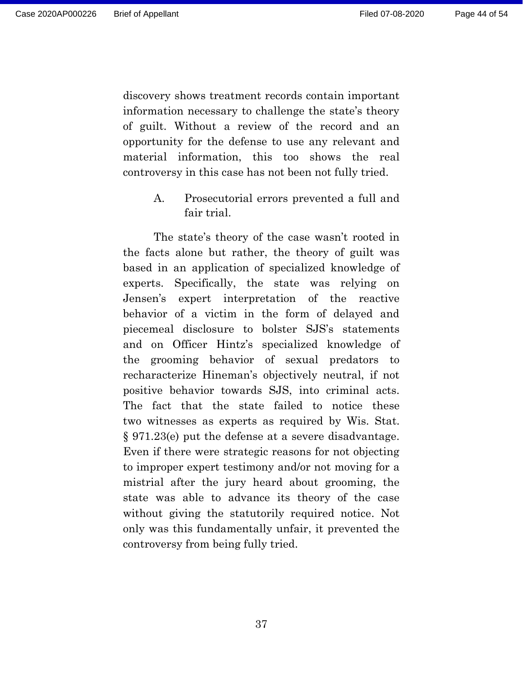discovery shows treatment records contain important information necessary to challenge the state's theory of guilt. Without a review of the record and an opportunity for the defense to use any relevant and material information, this too shows the real controversy in this case has not been not fully tried.

> <span id="page-43-0"></span>A. Prosecutorial errors prevented a full and fair trial.

The state's theory of the case wasn't rooted in the facts alone but rather, the theory of guilt was based in an application of specialized knowledge of experts. Specifically, the state was relying on Jensen's expert interpretation of the reactive behavior of a victim in the form of delayed and piecemeal disclosure to bolster SJS's statements and on Officer Hintz's specialized knowledge of the grooming behavior of sexual predators to recharacterize Hineman's objectively neutral, if not positive behavior towards SJS, into criminal acts. The fact that the state failed to notice these two witnesses as experts as required by Wis. Stat. § 971.23(e) put the defense at a severe disadvantage. Even if there were strategic reasons for not objecting to improper expert testimony and/or not moving for a mistrial after the jury heard about grooming, the state was able to advance its theory of the case without giving the statutorily required notice. Not only was this fundamentally unfair, it prevented the controversy from being fully tried.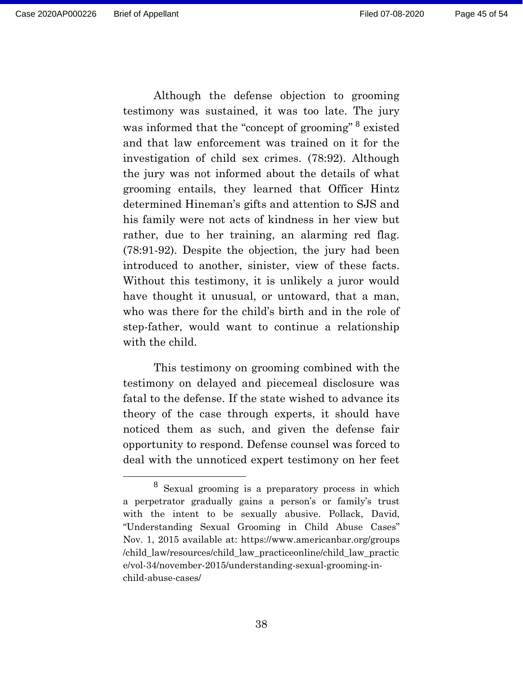Page 45 of 54

Although the defense objection to grooming testimony was sustained, it was too late. The jury was informed that the "concept of grooming" <sup>8</sup> existed and that law enforcement was trained on it for the investigation of child sex crimes. (78:92). Although the jury was not informed about the details of what grooming entails, they learned that Officer Hintz determined Hineman's gifts and attention to SJS and his family were not acts of kindness in her view but rather, due to her training, an alarming red flag. (78:91-92). Despite the objection, the jury had been introduced to another, sinister, view of these facts. Without this testimony, it is unlikely a juror would have thought it unusual, or untoward, that a man, who was there for the child's birth and in the role of step-father, would want to continue a relationship with the child.

This testimony on grooming combined with the testimony on delayed and piecemeal disclosure was fatal to the defense. If the state wished to advance its theory of the case through experts, it should have noticed them as such, and given the defense fair opportunity to respond. Defense counsel was forced to deal with the unnoticed expert testimony on her feet

<sup>8</sup> Sexual grooming is a preparatory process in which a perpetrator gradually gains a person's or family's trust with the intent to be sexually abusive. Pollack, David, "Understanding Sexual Grooming in Child Abuse Cases" Nov. 1, 2015 available at: https://www.americanbar.org/groups /child\_law/resources/child\_law\_practiceonline/child\_law\_practic e/vol-34/november-2015/understanding-sexual-grooming-inchild-abuse-cases/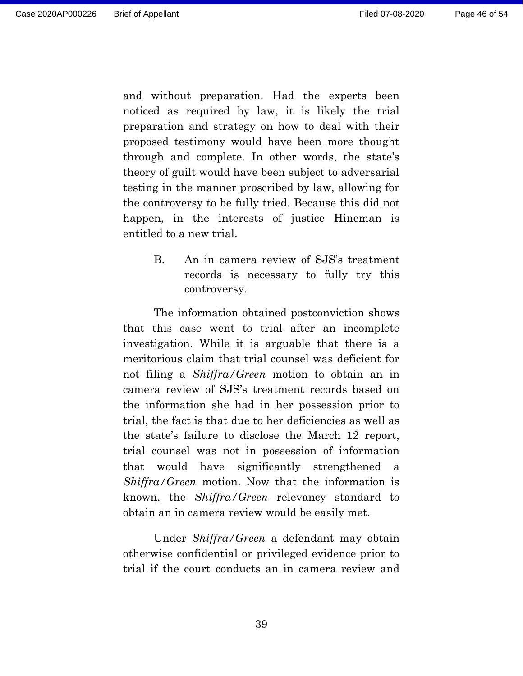and without preparation. Had the experts been noticed as required by law, it is likely the trial preparation and strategy on how to deal with their proposed testimony would have been more thought through and complete. In other words, the state's theory of guilt would have been subject to adversarial testing in the manner proscribed by law, allowing for the controversy to be fully tried. Because this did not happen, in the interests of justice Hineman is entitled to a new trial.

> <span id="page-45-0"></span>B. An in camera review of SJS's treatment records is necessary to fully try this controversy.

The information obtained postconviction shows that this case went to trial after an incomplete investigation. While it is arguable that there is a meritorious claim that trial counsel was deficient for not filing a *Shiffra/Green* motion to obtain an in camera review of SJS's treatment records based on the information she had in her possession prior to trial, the fact is that due to her deficiencies as well as the state's failure to disclose the March 12 report, trial counsel was not in possession of information that would have significantly strengthened a *Shiffra/Green* motion. Now that the information is known, the *Shiffra/Green* relevancy standard to obtain an in camera review would be easily met.

Under *Shiffra/Green* a defendant may obtain otherwise confidential or privileged evidence prior to trial if the court conducts an in camera review and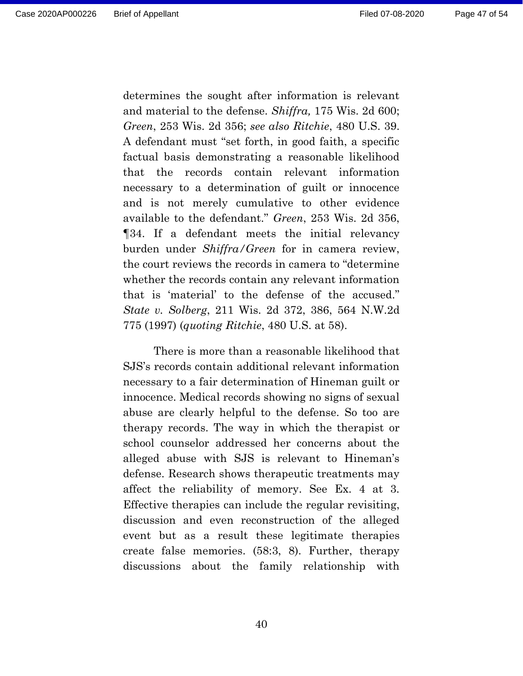determines the sought after information is relevant and material to the defense. *Shiffra,* 175 Wis. 2d 600; *Green*, 253 Wis. 2d 356; *see also Ritchie*, 480 U.S. 39. A defendant must "set forth, in good faith, a specific factual basis demonstrating a reasonable likelihood that the records contain relevant information necessary to a determination of guilt or innocence and is not merely cumulative to other evidence available to the defendant." *Green*, 253 Wis. 2d 356, ¶34. If a defendant meets the initial relevancy burden under *Shiffra/Green* for in camera review, the court reviews the records in camera to "determine whether the records contain any relevant information that is 'material' to the defense of the accused." *State v. Solberg*, 211 Wis. 2d 372, 386, 564 N.W.2d 775 (1997) (*quoting Ritchie*, 480 U.S. at 58).

There is more than a reasonable likelihood that SJS's records contain additional relevant information necessary to a fair determination of Hineman guilt or innocence. Medical records showing no signs of sexual abuse are clearly helpful to the defense. So too are therapy records. The way in which the therapist or school counselor addressed her concerns about the alleged abuse with SJS is relevant to Hineman's defense. Research shows therapeutic treatments may affect the reliability of memory. See Ex. 4 at 3. Effective therapies can include the regular revisiting, discussion and even reconstruction of the alleged event but as a result these legitimate therapies create false memories. (58:3, 8). Further, therapy discussions about the family relationship with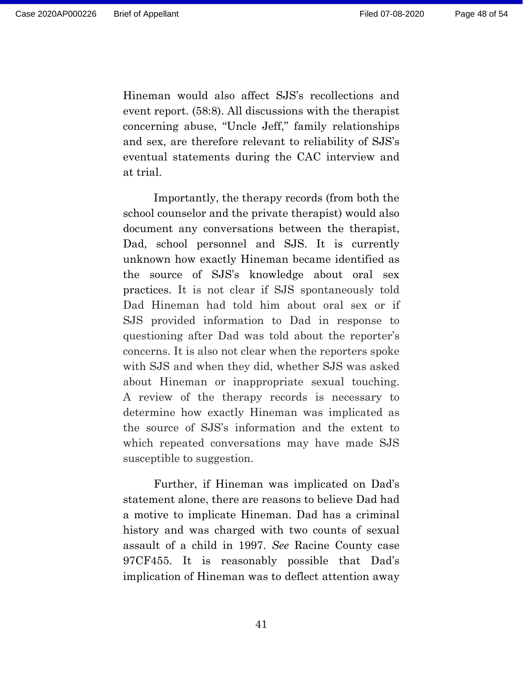Hineman would also affect SJS's recollections and event report. (58:8). All discussions with the therapist concerning abuse, "Uncle Jeff," family relationships and sex, are therefore relevant to reliability of SJS's eventual statements during the CAC interview and at trial.

Importantly, the therapy records (from both the school counselor and the private therapist) would also document any conversations between the therapist, Dad, school personnel and SJS. It is currently unknown how exactly Hineman became identified as the source of SJS's knowledge about oral sex practices. It is not clear if SJS spontaneously told Dad Hineman had told him about oral sex or if SJS provided information to Dad in response to questioning after Dad was told about the reporter's concerns. It is also not clear when the reporters spoke with SJS and when they did, whether SJS was asked about Hineman or inappropriate sexual touching. A review of the therapy records is necessary to determine how exactly Hineman was implicated as the source of SJS's information and the extent to which repeated conversations may have made SJS susceptible to suggestion.

Further, if Hineman was implicated on Dad's statement alone, there are reasons to believe Dad had a motive to implicate Hineman. Dad has a criminal history and was charged with two counts of sexual assault of a child in 1997. *See* Racine County case 97CF455. It is reasonably possible that Dad's implication of Hineman was to deflect attention away

41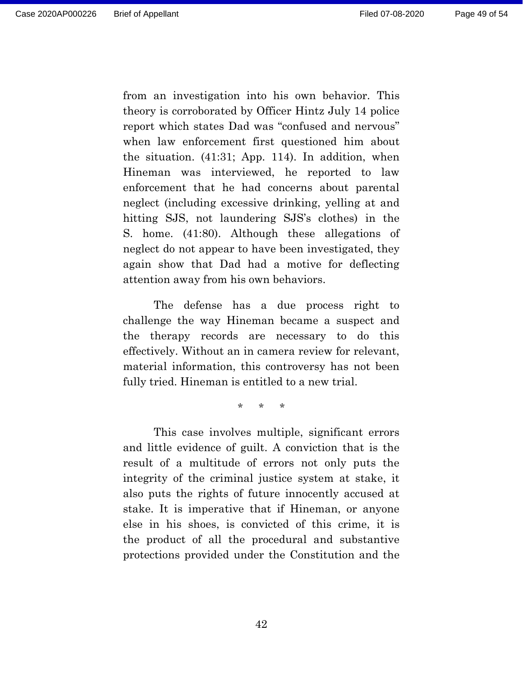from an investigation into his own behavior. This theory is corroborated by Officer Hintz July 14 police report which states Dad was "confused and nervous" when law enforcement first questioned him about the situation. (41:31; App. 114). In addition, when Hineman was interviewed, he reported to law enforcement that he had concerns about parental neglect (including excessive drinking, yelling at and hitting SJS, not laundering SJS's clothes) in the S. home. (41:80). Although these allegations of neglect do not appear to have been investigated, they again show that Dad had a motive for deflecting attention away from his own behaviors.

The defense has a due process right to challenge the way Hineman became a suspect and the therapy records are necessary to do this effectively. Without an in camera review for relevant, material information, this controversy has not been fully tried. Hineman is entitled to a new trial.

\* \* \*

This case involves multiple, significant errors and little evidence of guilt. A conviction that is the result of a multitude of errors not only puts the integrity of the criminal justice system at stake, it also puts the rights of future innocently accused at stake. It is imperative that if Hineman, or anyone else in his shoes, is convicted of this crime, it is the product of all the procedural and substantive protections provided under the Constitution and the

42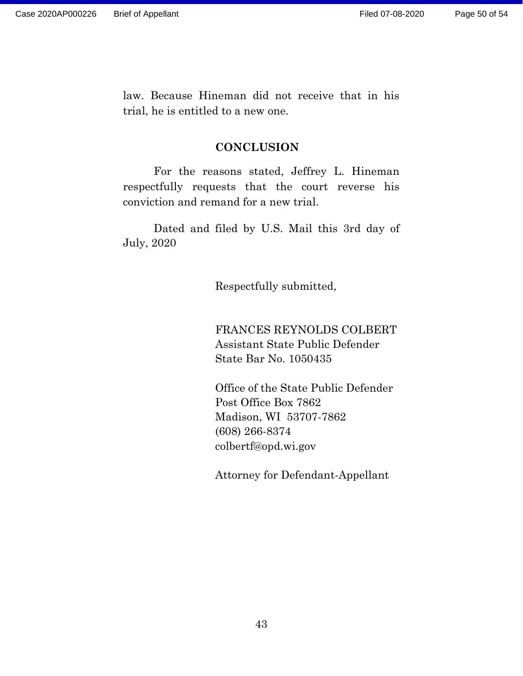law. Because Hineman did not receive that in his trial, he is entitled to a new one.

#### **CONCLUSION**

<span id="page-49-0"></span>For the reasons stated, Jeffrey L. Hineman respectfully requests that the court reverse his conviction and remand for a new trial.

Dated and filed by U.S. Mail this 3rd day of July, 2020

Respectfully submitted,

FRANCES REYNOLDS COLBERT Assistant State Public Defender State Bar No. 1050435

Office of the State Public Defender Post Office Box 7862 Madison, WI 53707-7862 (608) 266-8374 colbertf@opd.wi.gov

Attorney for Defendant-Appellant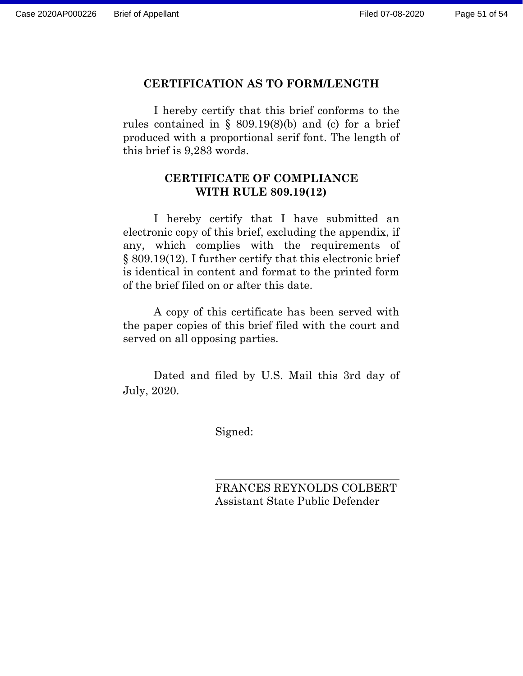#### **CERTIFICATION AS TO FORM/LENGTH**

I hereby certify that this brief conforms to the rules contained in  $\S$  809.19(8)(b) and (c) for a brief produced with a proportional serif font. The length of this brief is 9,283 words.

## **CERTIFICATE OF COMPLIANCE WITH RULE 809.19(12)**

I hereby certify that I have submitted an electronic copy of this brief, excluding the appendix, if any, which complies with the requirements of § 809.19(12). I further certify that this electronic brief is identical in content and format to the printed form of the brief filed on or after this date.

A copy of this certificate has been served with the paper copies of this brief filed with the court and served on all opposing parties.

Dated and filed by U.S. Mail this 3rd day of July, 2020.

Signed:

FRANCES REYNOLDS COLBERT Assistant State Public Defender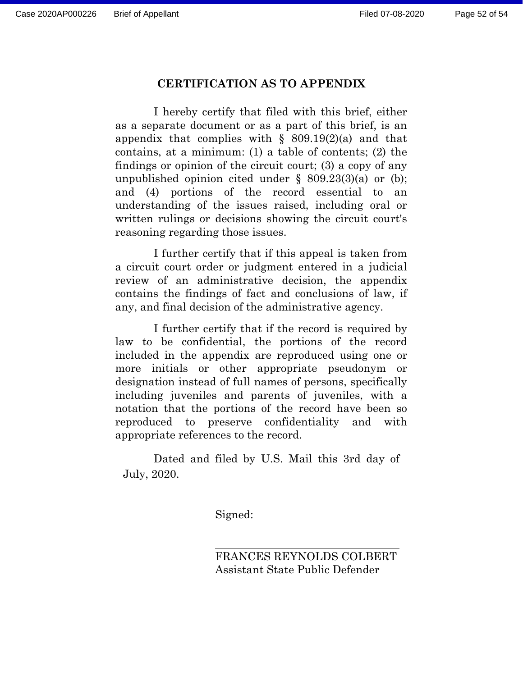#### **CERTIFICATION AS TO APPENDIX**

I hereby certify that filed with this brief, either as a separate document or as a part of this brief, is an appendix that complies with  $\S$  809.19(2)(a) and that contains, at a minimum: (1) a table of contents; (2) the findings or opinion of the circuit court; (3) a copy of any unpublished opinion cited under  $\S$  809.23(3)(a) or (b); and (4) portions of the record essential to an understanding of the issues raised, including oral or written rulings or decisions showing the circuit court's reasoning regarding those issues.

I further certify that if this appeal is taken from a circuit court order or judgment entered in a judicial review of an administrative decision, the appendix contains the findings of fact and conclusions of law, if any, and final decision of the administrative agency.

I further certify that if the record is required by law to be confidential, the portions of the record included in the appendix are reproduced using one or more initials or other appropriate pseudonym or designation instead of full names of persons, specifically including juveniles and parents of juveniles, with a notation that the portions of the record have been so reproduced to preserve confidentiality and with appropriate references to the record.

Dated and filed by U.S. Mail this 3rd day of July, 2020.

Signed:

FRANCES REYNOLDS COLBERT Assistant State Public Defender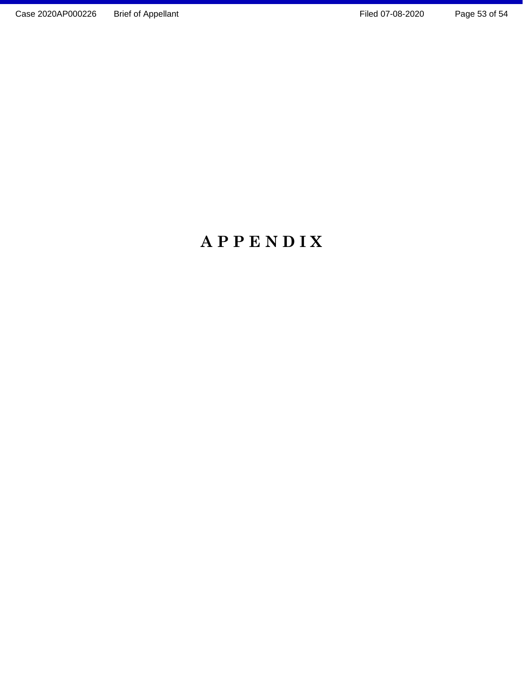# <span id="page-52-0"></span>**A P P E N D I X**